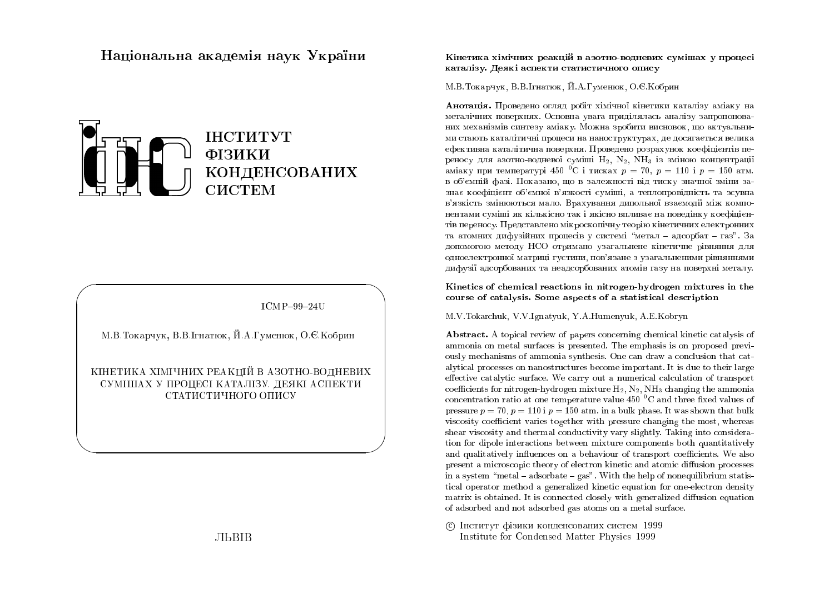## Національна академія наук України



 $ICMP-99-24U$ 

М.В.Токарчук, В.В.Ігнатюк, Й.А.Гуменюк, О.Є.Кобрин

КІНЕТИКА ХІМІЧНИХ РЕАКЦІЙ В АЗОТНО-ВОДНЕВИХ СУМІШАХ У ПРОЦЕСІ КАТАЛІЗУ. ДЕЯКІ АСПЕКТИ СТАТИСТИЧНОГО ОПИСУ

# **ЛЬВІВ**

#### Кінетика хімічних реакцій в азотно-водневих сумішах у процесі каталізу. Деякі аспекти статистичного опису

#### М.В.Токарчук, В.В.Ігнатюк, Й.А.Гуменюк, О.Є.Кобрин

Анотація. Проведено огляд робіт хімічної кінетики каталізу аміаку на металічних поверхнях. Основна увага приділялась аналізу запропонованих механізмів синтезу аміаку. Можна зробити висновок, що актуальними стають каталітичні процеси на наноструктурах, де досягається велика ефективна каталітична поверхня. Проведено розрахунок коефіцієнтів переносу для азотно-водневої суміші H<sub>2</sub>, N<sub>2</sub>, NH<sub>3</sub> із зміною концентрації аміаку при температурі 450 °С і тисках  $p = 70$ ,  $p = 110$  і  $p = 150$  атм. в об'ємній фазі. Показано, що в залежності від тиску значної зміни зазнає коефіцієнт об'ємної в'язкості суміші, а теплопровідність та зсувна в'язкість змінюються мало. Врахування дипольної взаємодії між компонентами суміші як кількісно так і якісно впливає на поведінку коефіцієнтів переносу. Представлено мікроскопічну теорію кінетичних електронних та атомних дифузійних процесів у системі "метал - адсорбат - газ". За допомогою методу НСО отримано узагальнене кінетичне рівняння для одноелектронної матриці густини, пов'язане з узагальненими рівняннями дифузії адсорбованих та неадсорбованих атомів газу на поверхні металу.

Kinetics of chemical reactions in nitrogen-hydrogen mixtures in the course of catalysis. Some aspects of a statistical description

M.V.Tokarchuk, V.V.Ignatyuk, Y.A.Humenyuk, A.E.Kobryn

**Abstract.** A topical review of papers concerning chemical kinetic catalysis of ammonia on metal surfaces is presented. The emphasis is on proposed previously mechanisms of ammonia synthesis. One can draw a conclusion that catalytical processes on nanostructures become important. It is due to their large effective catalytic surface. We carry out a numerical calculation of transport coefficients for nitrogen-hydrogen mixture  $H_2$ ,  $N_2$ ,  $NH_3$  changing the ammonia concentration ratio at one temperature value 450  $\mathrm{^{0}C}$  and three fixed values of pressure  $p = 70$ ,  $p = 110$  i  $p = 150$  atm. in a bulk phase. It was shown that bulk viscosity coefficient varies together with pressure changing the most, whereas shear viscosity and thermal conductivity vary slightly. Taking into consideration for dipole interactions between mixture components both quantitatively and qualitatively influences on a behaviour of transport coefficients. We also present a microscopic theory of electron kinetic and atomic diffusion processes in a system "metal - adsorbate -  $gas$ ". With the help of nonequilibrium statistical operator method a generalized kinetic equation for one-electron density matrix is obtained. It is connected closely with generalized diffusion equation of adsorbed and not adsorbed gas atoms on a metal surface.

С Інститут фізики конденсованих систем 1999 Institute for Condensed Matter Physics 1999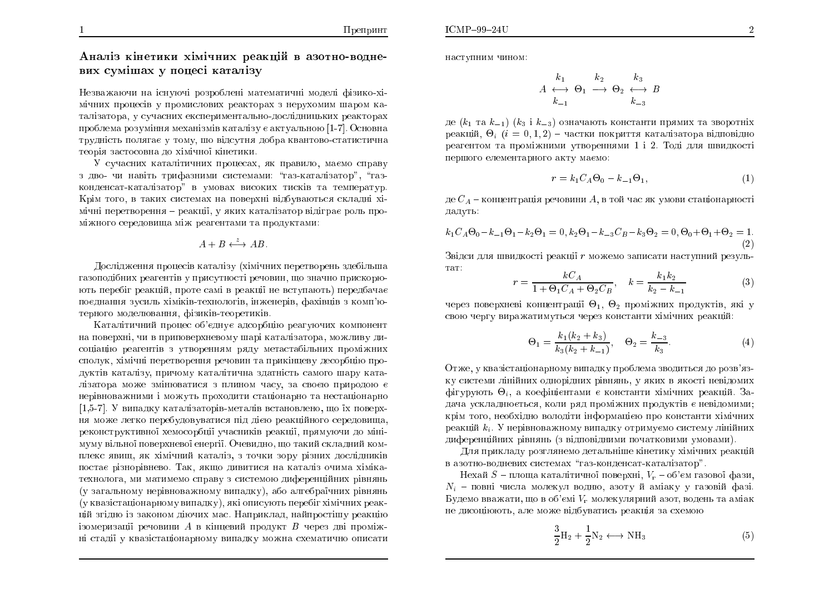Аналіз кінетики хімічних реакцій в азотно-водне-<br>. вих сумішах у поцесі каталізу

Незважаючи на існуючі розроблені математичні моделі фізико-хі<mark>-</mark> мічних процесів у промислових реакторах з нерухомим шаром каталізатора, у сучасних експериментально-дослідницьких реакторах<br>. проблема розуміння механізмів каталізу є актуальною [1-7]. Основна<br>́ трудність полягає у тому, шо відсутня добра квантово-статистична теорія застосовна до хімічно<mark>ї</mark> кінетики.

У сучасних каталітичних процесах, як правило, маємо справу з дво- чи навіть трифазними системами: "газ-каталізатор", "газконденсат-каталізатор" в умовах високих тисків та температур. Крім того, в таких системах на поверхні відбуваються складні хімічні перетворення — реакції, у яких каталізатор відіграє роль проміжного середовища між реагентами та продуктами:<br>.

$$
A + B \xleftrightarrow{\tilde{z}} AB.
$$

Дослідження процесів каталізу (хімічних перетворень здебільша газоподібних реагентів у присутності речовин, що значно прискорюють перебіг реакцій, проте самі в реакції не вступають) передбачає поєднання зусиль хіміків-технологів, інженерів, фахівців з комп'ютерного моделювання, фізиків-теоретиків.

Каталітичний процес об'єднує адсорбцію реагуючих компонент<br>. на поверхні, чи в приповерхневому шарі каталізатора, можливу дисоціацію реагентів з утворенням ряду метастабільних проміжних<br>Сида сполук, хімічні перетворення речовин та прикінцеву десорбцію про-<br> дуктів каталізу, причому каталітична здатність самого шару каталізатора може змінюватися з плином часу, за своєю природою є<br> нерівноважними і можуть проходити стаціонарно та нестаціонарно [1,5-7]. У випадку каталізаторів-металів встановлено, що їх поверхня може легко перебудовуватися під дією реакційного середовища, реконструктивної хемосорбції учасників реакції, прямуючи до мінімуму вільної поверхневої енергії. Очевидно, що такий складний ком<mark>-</mark> плекс явищ, як хімічний каталіз, з точки зору різних дослідників постає різнорівнево. Так, якщо дивитися на каталіз очима хімікатехнолога, ми матимемо справу з системою диференційних рівнянь<br>́ (у загальному нерівноважному випадку), або алгебраїчних рівнянь (у квазістаціонарному випадку), які описують перебіг хімічних реак<mark>-</mark> цій згідно із законом діючих мас. Наприклад, найпростішу реакцію<br>. ізомеризації речовини  $A$  в кінцевий продукт  $B$  через дві проміжні стадії у квазістаціонарному випадку можна схематично описати наступним чином:

$$
A \leftrightarrow \Theta_1 \longrightarrow \Theta_2 \leftrightarrow B
$$
  

$$
k_{-1} \longrightarrow \Theta_2 \leftrightarrow B
$$
  

$$
k_{-3}
$$

де  $(k_1$  та  $k_{-1})\,\,(k_3$  і  $k_{-3})$  означають константи прямих та зворотніх реакцій,  $\Theta_i$   $(i = 0, 1, 2)$  — частки покриття каталізатора відповідно реагентом та проміжними утвореннями 1 і 2. Тоді для швидкості першого елементарного акту маємо:

$$
r = k_1 C_A \Theta_0 - k_{-1} \Theta_1,\tag{1}
$$

де  $C_A$  – концентрація речовини  $A,$  в той час як умови стаціонарності дадуть:

$$
k_1 C_A \Theta_0 - k_{-1} \Theta_1 - k_2 \Theta_1 = 0, k_2 \Theta_1 - k_{-3} C_B - k_3 \Theta_2 = 0, \Theta_0 + \Theta_1 + \Theta_2 = 1.
$$
\n(2)

Звідси для швидкості реакції  $r$  можемо записати наступний резуль-Ta<sub>T</sub>:

$$
r = \frac{kC_A}{1 + \Theta_1 C_A + \Theta_2 C_B}, \quad k = \frac{k_1 k_2}{k_2 - k_{-1}}
$$
(3)

через поверхневі концентрації  $\Theta_1,~\Theta_2$  проміжних продуктів, які у свою чергу виражатимуться через константи хімічних реакцій:<br>.

$$
\Theta_1 = \frac{k_1(k_2 + k_3)}{k_3(k_2 + k_{-1})}, \quad \Theta_2 = \frac{k_{-3}}{k_3}.
$$
 (4)

Отже, у квазістаціонарному випадку проблема зводиться до розв'язку системи лінійних однорідних рівнянь, у яких в якості невідомих<br>——————————————————— фігурують  $\Theta_i$ , а коефіцієнтами є константи хімічних реакцій. Задача ускладнюється, коли ряд проміжних продуктів є невідомими; крім того, необхідно володіти інформацією про константи хімічних<br>Силадзії реакцій  $k_i$ . У нерівноважному випадку отримуємо систему лінійних диференційних рівнянь (з відповідними початковими умовами).

Для прикладу розглянемо детальніше кінетику хімічних реакцій<br>. в азотно-водневих системах "газ-конденсат-каталізатор".

Нехай  $S$  – площа каталітичної поверхні,  $V_\mathrm{r}$  – об'єм газової фази,  $N_i$  – повні числа молекул водню, азоту й аміаку у газовій фазі. Будемо вважати, що в об'ємі  $V_{\rm r}$  молекулярний азот, водень та аміак не дисоціюють, але може відбуватись реакція за схемою

$$
\frac{3}{2}\mathbf{H}_2 + \frac{1}{2}\mathbf{N}_2 \longleftrightarrow \mathbf{NH}_3 \tag{5}
$$

1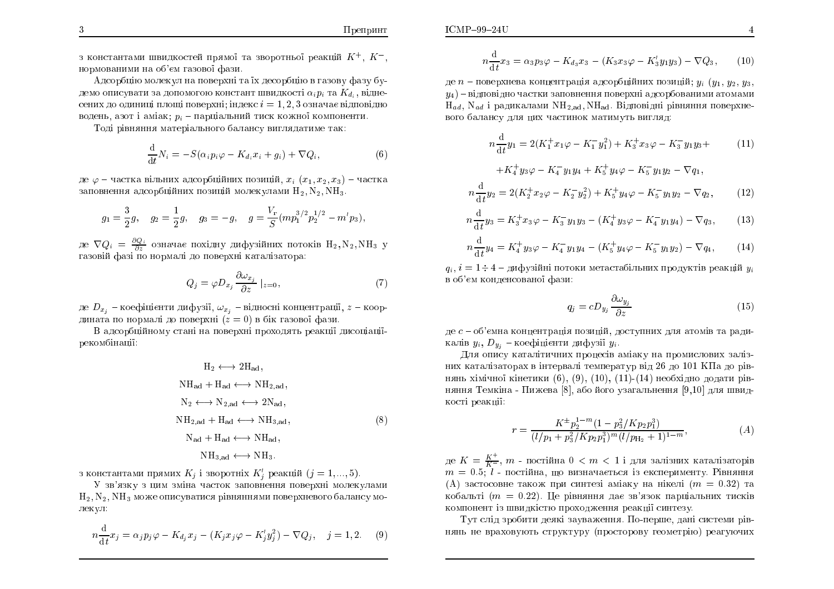з константами швидкостей прямої та зворотньої реакцій  $K^+,~K^-,$ нормованими на об'єм газової фази.<br>.

áÄÓÏÒÂÀ ÍÏÌÅËÕ Ì ÎÁ Ï×ÅÒÈÎ ÔÁ §È ÄÅÓÏÒÂÀ <sup>×</sup> ÇÁÚÏ×Õ ÆÁÚÕ ÂÕдемо описувати за допомогою констант швидкості  $\alpha_i p_i$  та  $K_{d_i},$  віднесених до одиниці площі поверхні; індекс  $i=1,2,3$  означає відповідно водень, азот і аміак;  $p_i$  – парціальний тиск кожної компоненти.

Тоді рівняння матеріального балансу виглядатиме так:<br>```

$$
\frac{\mathrm{d}}{\mathrm{d}t}N_i = -S(\alpha_i p_i \varphi - K_{d_i} x_i + g_i) + \nabla Q_i, \tag{6}
$$

де  $\varphi$  – частка вільних адсорбційних позицій,  $x_i$   $(x_1, x_2, x_3)$  – частка заповнення адсорбційних позицій молекулами  $\rm H_2, N_2, NH_3.$ 

$$
g_1 = \frac{3}{2}g
$$
,  $g_2 = \frac{1}{2}g$ ,  $g_3 = -g$ ,  $g = \frac{V_r}{S}(mp_1^{3/2}p_2^{1/2} - m'p_3)$ ,

де  $\nabla Q_i = \frac{\partial Q_i}{\partial z}$  означає похідну дифузійних потоків  $H_2, N_2, NH_3$  у ÇÁÚÏ×Ê ÆÁÚ <sup>Ï</sup> ÎÏÒÍÁÌ ÄÏ Ï×ÅÒÈÎ ËÁÔÁÌÚÁÔÏÒÁ:

$$
Q_j = \varphi D_{x_j} \frac{\partial \omega_{x_j}}{\partial z} \mid_{z=0},\tag{7}
$$

де  $D_{x_j}$  – коефіцієнти дифузії,  $\omega_{x_j}$  – відносні концентрації,  $z$  – координата по нормалі до поверхні  $(z = 0)$  в бік газової фази.

В адсорбційному стані на поверхні проходять реакції дисоціації-<br>Селосі проволі рекомбінації:

$$
H_2 \longleftrightarrow 2H_{ad},
$$
  
\n
$$
NH_{ad} + H_{ad} \longleftrightarrow NH_{2,ad},
$$
  
\n
$$
N_2 \longleftrightarrow N_{2,ad} \longleftrightarrow 2N_{ad},
$$
  
\n
$$
NH_{2,ad} + H_{ad} \longleftrightarrow NH_{3,ad},
$$
  
\n
$$
N_{ad} + H_{ad} \longleftrightarrow NH_{ad},
$$
  
\n
$$
NH_{3,ad} \longleftrightarrow NH_3.
$$
  
\n(8)

з константами прямих  $K_j$  і зворотніх  $K'_j$  реакцій  $(j = 1, ..., 5)$ .

У зв'язку з цим зміна часток заповнення поверхні молекулами  $\rm H_2, N_2, NH_3$  може описуватися рівняннями поверхневого балансу молекул:

$$
n\frac{\mathrm{d}}{\mathrm{d}t}x_j = \alpha_j p_j \varphi - K_{d_j} x_j - (K_j x_j \varphi - K'_j y_j^2) - \nabla Q_j, \quad j = 1, 2. \tag{9}
$$

де  $n$  – поверхнева концентрація адсорбційних позицій;  $y_i\ (y_1,\, y_2,\, y_3,$  $y_4$ ) — відповідно частки заповнення поверхні адсорбованими атомами  $\rm H_{ad},~\rm N_{ad}$  і радикалами  $\rm NH_{2,ad}, NH_{ad}$ . Відповідні рівняння поверхневого балансу для цих частинок матимуть вигляд:

$$
n\frac{d}{dt}y_1 = 2(K_1^+ x_1 \varphi - K_1^- y_1^2) + K_3^+ x_3 \varphi - K_3^- y_1 y_3 +
$$
  
+K<sub>4</sub><sup>+</sup> y<sub>3</sub> $\varphi - K_4^- y_1 y_4 + K_5^+ y_4 \varphi - K_5^- y_1 y_2 - \nabla q_1,$  (11)

$$
n\frac{\mathrm{d}}{\mathrm{d}t}y_2 = 2(K_2^+x_2\varphi - K_2^-y_2^2) + K_5^+y_4\varphi - K_5^-y_1y_2 - \nabla q_2,\tag{12}
$$

$$
n\frac{\mathrm{d}}{\mathrm{d}t}y_3 = K_3^+ x_3 \varphi - K_3^- y_1 y_3 - (K_4^+ y_3 \varphi - K_4^- y_1 y_4) - \nabla q_3,\tag{13}
$$

$$
n\frac{\mathrm{d}}{\mathrm{d}t}y_4 = K_4^+ y_3 \varphi - K_4^- y_1 y_4 - (K_5^+ y_4 \varphi - K_5^- y_1 y_2) - \nabla q_4,\tag{14}
$$

 $q_i$ ,  $i = 1 \div 4$  – дифузійні потоки метастабільних продуктів реакцій  $y_i$ в об'єм конденсовано<mark>ї</mark> фази:

$$
q_j = c D_{y_j} \frac{\partial \omega_{y_j}}{\partial z} \tag{15}
$$

де  $c$  – об'ємна концентрація позицій, доступних для атомів та радикалів  $y_i, \, D_{\,y_j}$  – коефіцієнти дифузії  $y_i.$ 

Для опису каталітичних процесів аміаку на промислових залізних каталізаторах в інтервалі температур від 26 до 101 КПа до рівнянь хімічної кінетики (6), (9), (10), (11)-(14) необхідно додати рівняння Темкіна - Пижева [8], або його узагальнення [9,10] для швидкості реакції:

$$
r = \frac{K^{\pm} p_2^{1-m} (1 - p_3^2 / K p_2 p_1^3)}{(l/p_1 + p_3^2 / K p_2 p_1^3)^m (l/p_{\text{H}_2} + 1)^{1-m}},\tag{A}
$$

де  $K = \frac{K^{+}}{K^{-}}, m$  - постійна  $0 < m < 1$  і для залізних каталізаторів $m = 0.5, l$ , постійна, що пиривнасться із аканопирични. Вівнання  $m = 0.5; l$  - постійна, що визначається із експерименту. Рівняння (A) застосовне також при синтезі аміаку на нікелі  $(m = 0.32)$  та кобальті (т = 0.22). Це рівняння дає зв'язок парціальних тисків компонент із швидкістю проходження реакції синтезу.<br>П

Тут слід зробити деякі зауваження. По-перше, дані системи рівнянь не враховують структуру (просторову геометрію) реагуючих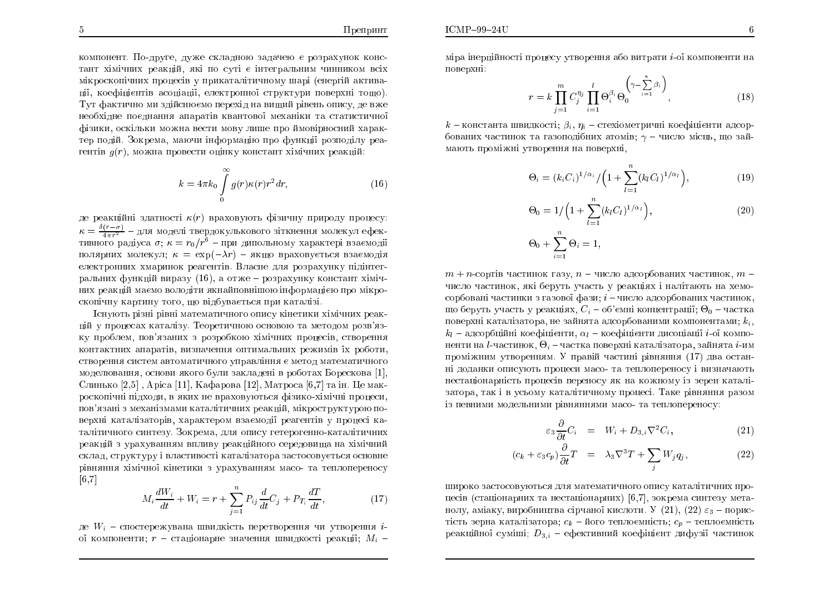$ICMP-99-24U$ 

компонент. По-друге, дуже складною задачею є розрахунок констант хімічних реакцій, які по суті є інтегральним чинником всіх<br>. мікроскопічних процесів у прикаталітичному шарі (енергій активації, коефіцієнтів асоціації, електронної структури поверхні тощо). Тут фактично ми здійснюємо перехід на вищий рівень опису, де вже необхідне поєднання апаратів квантової механіки та статистичної<br>. фізики, оскільки можна вести мову лише про ймовірносний характер подій. Зокрема, маючи інформацію про функції розподілу реа-<br>Словови гентів  $g(r)$ , можна провести оцінку констант хімічних реакцій:

$$
k = 4\pi k_0 \int\limits_0^\infty g(r)\kappa(r)r^2 dr,\tag{16}
$$

де реакційні здатності  $\kappa(r)$  враховують фізичну природу процесу:  $\kappa = \frac{\delta(r-\sigma)}{4\pi r^2}$  – для моделі твердокулькового зіткнення молекул ефективного радіуса  $\sigma$ ;  $\kappa = r_0/r^6$  – при дипольному характері взаємодії полярних молекул;  $\kappa = \exp(-\lambda r) - \pi \kappa$ що враховується взаємодія електронних хмаринок реагентів. Власне для розрахунку підінтегральних функцій виразу  $(16)$ , а отже — розрахунку констант хімічних реакцій маємо володіти якнайповнішою інформацією про мікро-<br>́ скопічну картину того, що відбувається при каталізі.

Існують різні рівні математичного опису кінетики хімічних реакцій у процесах каталізу. Теоретичною основою та методом розв'язку проблем, пов'язаних з розробкою хімічних процесів, створення<br>С контактних апаратів, визначення оптимальних режимів їх роботи, створення систем автоматичного управління є метод математичного моделювання, основи якого були закладені в роботах Борескова [1],<br>. Слинько [2,5] , Apica [11], Кафарова [12], Матроса [6,7] та ін. Це макроскопічні підходи, в яких не враховуються фізико-хімічні процеси, пов'язані з механізмами каталітичних реакцій, мікроструктурою по-<br>... верхні каталізаторів, характером взаємодії реагентів у процесі каталітичного синтезу. Зокрема, для опису гетерогенно-каталітичних<br>. реакцій з урахуванням впливу реакційного середовища на хімічний<br>. склад, структуру і властивості каталізатора застосовується основне рівняння хімічної кінетики з урахуванням масо- та теплопереносу<br><sup>Го</sup>ді  $[6,7]$ 

$$
M_i \frac{dW_i}{dt} + W_i = r + \sum_{j=1}^{n} P_{ij} \frac{d}{dt} C_j + P_{T_i} \frac{dT}{dt},
$$
 (17)

де  $W_i$  – спостережувана швидкість перетворення чи утворення  $i\text{-}$ ої компоненти;  $r$  – стаціонарне значення швидкості реакції;  $M_i$  –

$$
r = k \prod_{j=1}^{m} C_j^{\eta_j} \prod_{i=1}^{l} \Theta_i^{\beta_i} \Theta_0^{\left(\gamma - \sum_{i=1}^{n} \beta_i\right)},
$$
\n(18)

 $k$  – константа швидкості;  $\beta_i, \, \eta_i$  – стехіометричні коефіцієнти адсорбованих частинок та газоподібних атомів;  $\gamma$  — число місць, що зай-ÍÁÀÔØ ÒÏÍÖÎ ÕÔ×ÏÒÅÎÎÑ ÎÁ Ï×ÅÒÈÎ,

$$
\Theta_i = (k_i C_i)^{1/\alpha_i} / \left(1 + \sum_{l=1}^n (k_l C_l)^{1/\alpha_l}\right),\tag{19}
$$

$$
\Theta_0 = 1 / \left( 1 + \sum_{l=1}^n (k_l C_l)^{1/\alpha_l} \right),
$$
\n
$$
\Theta_0 + \sum_{i=1}^n \Theta_i = 1,
$$
\n(20)

 $m+n$ -сортів частинок газу,  $n$  – число адсорбованих частинок,  $m$  – число частинок, які беруть участь у реакціях і налітають на хемосорбовані частинки з газової фази; *і* – число адсорбованих частинок, що беруть участь у реакціях,  $C_i$  – об'ємні концентрації;  $\Theta_0$  – частка поверхні каталізатора, не зайнята адсорбованими компонентами;  $k_i,$  $k_l$  – адсорбційні коефіцієнти,  $\alpha_l$  – коефіцієнти дисоціації  $i$ -ої компоненти на  $l$ -частинок,  $\Theta_i$  – частка поверхні каталізатора, зайнята  $i$ -им проміжним утворенням. У правій частині рівняння (17) два останні доданки описують процеси масо- та теплопереносу і визначають нестаціонарність процесів переносу як на кожному із зерен каталі<mark>-</mark> затора, так і в усьому каталітичному процесі. Таке рівняння разом із певними модельними рівняннями масо- та теплопереносу:<br>``

$$
\varepsilon_3 \frac{\partial}{\partial t} C_i = W_i + D_{3,i} \nabla^2 C_i, \tag{21}
$$

$$
(c_k + \varepsilon_3 c_p) \frac{\partial}{\partial t} T = \lambda_3 \nabla^3 T + \sum_j W_j q_j, \qquad (22)
$$

широко застосовуються для математичного опису каталітичних процесів (стаціонарних та нестаціонарних)  $\left[6,7\right]$ , зокрема синтезу метанолу, аміаку, виробництва сірчаної кислоти. У  $(21), (22)$   $\varepsilon_{3}$  – пористість зерна каталізатора;  $c_k$  – його теплоємність;  $c_p$  – теплоємність реакційної суміші;  $D_{3,i}$  – ефективний коефіцієнт дифузії частинок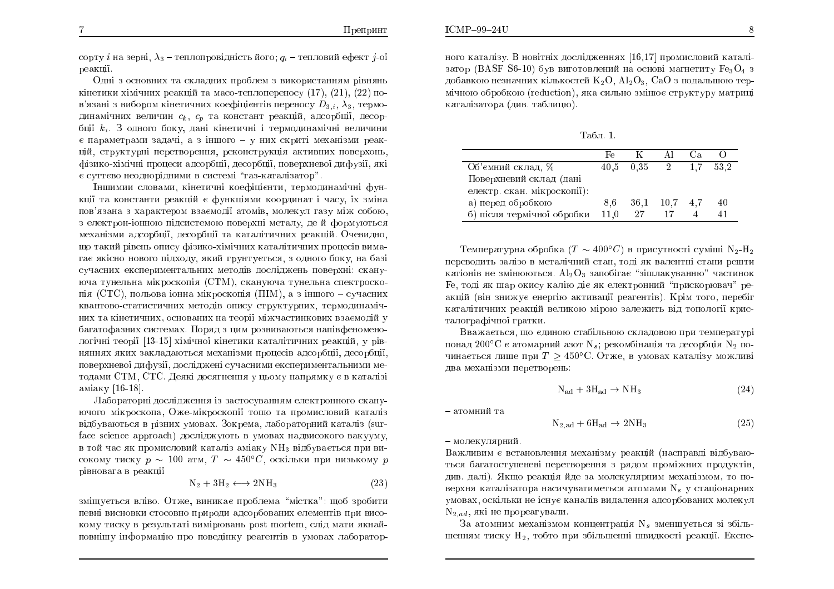$ICMP-99-24U$ 

сорту  $i$  на зерні,  $\lambda_3$  – теплопровідність його;  $q_i$  – тепловий ефект  $j$ -ої beakuii.

Одні з основних та складних проблем з використанням рівнянь кінетики хімічних реакцій та масо-теплопереносу (17), (21), (22) пов'язані з вибором кінетичних коефіцієнтів переносу  $D_{3,i},\lambda_3$ , термодинамічних величин  $c_k, \; c_p \;$  та констант реакцій, адсорбції, десорбції  $k_i$ . З одного боку, дані кінетичні і термодинамічні величини  $\rm \epsilon$  параметрами задачі, а з іншого — у них скриті механізми реакцій, структурні перетворення, реконструкція активних поверхонь, фізико-хімічні процеси адсорбції, десорбції, поверхневої дифузії, які  $\rm \epsilon$  суттєво неоднорідними в системі"газ-каталізатор".

Іншимии словами, кінетичні коефіцієнти, термодинамічні функції та константи реакцій є функціями координат і часу, їх зміна пов'язана з характером взаємодії атомів, молекул газу між собою,<br>- сточеною існоси і і с с с серебовані і с с тить в должните ст з електрон-іонною підсистемою поверхні металу, де й формуються механізми адсорбції, десорбції та каталітичних реакцій. Очевидно, що такий рівень опису фізико-хімічних каталітичних процесів вимагає якісно нового підходу, який грунтується, з одного боку, на базі сучасних експериментальних методів досліджень поверхні: скануюча тунельна мікроскопія (CTM), скануюча тунельна спектроскопія (СТС), польова іонна мікроскопія (ПІМ), а з іншого — сучасних квантово-статистичних методів опису структурних, термодинамічних та кінетичних, основаних на теорії міжчастинкових взаємодій у ÂÁÇÁÔÏÆÁÚÎÉÈ ÓÉÓÔÅÍÁÈ. ðÏÒÑÄ <sup>Ú</sup> ÉÍ ÒÏÚ×É×ÁÀÔØÓÑ ÎÁׯÅÎÏÍÅÎÏлогічні теорії [13-15] хімічної кінетики каталітичних реакцій, у рівняннях яких закладаються механізми процесів адсорбції, десорбції, поверхневої дифузії, досліджені сучасними експериментальними методами  $\operatorname{CTM}, \operatorname{CTC}.$  Деякі досягнення у цьому напрямку є в каталізі аміаку [16-18].

Лабораторні дослідження із застосуванням електронного скануючого мікроскопа, Оже-мікроскопії тощо та промисловий каталіз відбуваються в різних умовах. Зокрема, лабораторний каталіз (surface science approach) досліджують в умовах надвисокого вакууму, в той час як промисловий каталіз аміаку NH<sub>3</sub> відбувається при високому тиску  $p \, \sim \, 100$  атм,  $T \, \sim \, 450^{\circ}C,$  оскільки при низькому  $p$ рівновага в реакці<mark>ї</mark>

$$
N_2 + 3H_2 \longleftrightarrow 2NH_3 \tag{23}
$$

зміщується вліво. Отже, виникає проблема "містка": щоб зробити певні висновки стосовно природи адсорбованих елементів при високому тиску в результаті вимірювань post mortem, слід мати якнайповнішу інформацію про поведінку реагентів в умовах лаборатор<mark>-</mark> ного каталізу. В новітніх дослідженнях [16,17] промисловий каталізатор (BASF S6-10) був виготовлений на основі магнетиту  $Fe_3O_4$  з добавкою незначних кількостей  $\rm K_2O,\,Al_2O_3,\,CaO$  з подальшою термічною обробкою (reduction), яка сильно змінює структуру матриці каталізатора (див. таблицю).

Табл. 1.

|                                 | Fρ  |      | ΔI              | t а |      |
|---------------------------------|-----|------|-----------------|-----|------|
| Об'ємний склад. %               |     |      | $40.5$ $0.35$ 2 | 1.7 | 53.2 |
| Поверхневий склад (дані         |     |      |                 |     |      |
| електр. скан. мікроскопії):     |     |      |                 |     |      |
| а) перед обробкою               | 8.6 | 36.1 | 10,7            |     |      |
| б) після термічної обробки 11,0 |     | 27   |                 |     |      |

Температурна обробка ( $T \sim 400^{\circ}C$ ) в присутності суміші  $\rm N_2\text{-}H_2$ переводить залізо в металічний стан, тоді як валентні стани решти катіонів не змінюються.  $\rm Al_2O_3$  запобігає "зішлакуванню" частинок Fe, тоді як шар окису калію діє як електронний "прискорювач" реакцій (він знижує енергію активації реагентів). Крім того, перебіг ËÁÔÁÌÔÉÞÎÉÈ ÒÅÁËÊ ×ÅÌÉËÏÀ ÍÒÏÀ ÚÁÌÅÖÉÔØ ×Ä ÔÏÏÌÏǧ ËÒÉÓталографічної гратки.

÷×ÁÖÁ¤ÔØÓÑ, ÝÏ ¤ÄÉÎÏÀ ÓÔÁÂÌØÎÏÀ ÓËÌÁÄÏ×ÏÀ ÒÉ ÔÅÍÅÒÁÔÕÒ понад 200°С є атомарний азот N $_s$ ; рекомбінація та десорбція N $_2$  починається лише при  $T \geq 450\textdegree\text{C}$ . Отже, в умовах каталізу можливі два механізми перетворень:<br>``

$$
N_{\rm ad} + 3H_{\rm ad} \to NH_3 \tag{24}
$$

<mark>– атомний та</mark>

$$
N_{2,ad} + 6H_{ad} \rightarrow 2NH_3 \tag{25}
$$

— молекулярний.

Важливим є встановлення механізму реакцій (насправді відбуваються багатоступеневі перетворення з рядом проміжних продуктів,<br>Поділістів див. далі). Якщо реакція йде за молекулярним механізмом, то поверхня каталізатора насичуватиметься атомами  ${\rm N}_s$  у стаціонарних умовах, оскільки не існує каналів видалення адсорбованих молекул  ${\rm N}_{2,ad},$  які не прореагували.

За атомним механізмом концентрація N, зменшується зі збіль-<br>Поділися в Політинськом сійном сійном портії Політинської процесі Політинської процесі Політинської процесі П шенням тиску  ${\rm H}_2$ , тобто при збільшенні швидкості реакції. Експе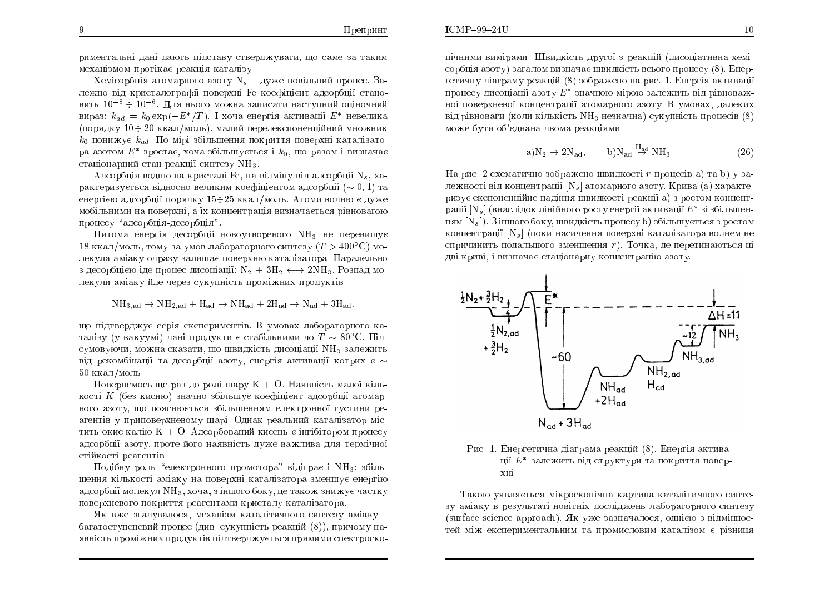риментальні дані дають підставу стверджувати, що саме за таким механізмом протікає реакція каталізу.<br>У союзу в союзу большах дани.

Хемісорбція атомарного азоту  ${\rm N_s}$  – дуже повільний процес. Залежно від кристалографії поверхні Fe коефіцієнт адсорбції становить  $10^{-8} \div 10^{-6}$ . Для нього можна записати наступний оціночний вираз:  $k_{ad} = k_0 \exp(-E^*/T)$ . І хоча енергія активації  $E^*$  невелика (порядку 10 ÷ 20 ккал/моль), малий передекспоненційний множник<br>L  $k_0$  понижує  $k_{ad}$ . По мірі збільшення покриття поверхні каталізатора азотом  $E^\ast$  зростає, хоча збільшується і  $k_0$ , що разом і визначає стаціонарний стан реакції синтезу  $\mathrm{NH}_3$ .

Адсорбція водню на кристалі Fe, на відміну від адсорбції N<sub>s</sub>, характеризується відносно великим коефіцієнтом адсорбції  $(\sim 0,1)$  та енергією адсорбції порядку 15÷25 ккал∕моль. Атоми водню є дуже мобільними на поверхні, а їх концентрація визначається рівновагою<br>. процесу "адсорбція-десорбція".<br>

Питома енергія десорбції новоутвореного NH<sub>3.</sub> не перевищує 18 ккал/моль, тому за умов лабораторного синтезу ( $T>400^{\circ}\mathrm{C})$  молекула аміаку одразу залишає поверхню каталізатора. Паралельно з десорбцією іде процес дисоціації:  $\mathrm{N}_2\,+\,3\mathrm{H}_2\,\longleftrightarrow\,2\mathrm{NH}_3$ . Розпад мо-<br>декули эмізку йле нерез сукупність проміжних продуктів: лекули аміаку йде через сукупність проміжних продуктів:<br>.

 $NH_{3,ad} \rightarrow NH_{2,ad} + H_{ad} \rightarrow NH_{ad} + 2H_{ad} \rightarrow N_{ad} + 3H_{ad}$ 

що підтверджує серія експериментів. В умовах лабораторного каталізу (у вакуумі) дані продукти є стабільними до  $T \sim 80^{\circ}\mathrm{C}.$  Підсумовуючи, можна сказати, що швидкість дисоціації NH<sub>3</sub> залежить від рекомбінації та десорбції азоту, енергія активації котрих є  $\sim$  $50\,$ ккал $/\rm{m}$ оль.

Повернемось ще раз до ролі шару  $K + O$ . Наявність малої кіль-<br> $\frac{1}{2} K \left( \delta_{\text{max}} - \epsilon_{\text{max}} \right)$ кості K (без кисню) значно збільшує коефіцієнт адсорбції атомар-<br>1905 серпні ще до точкови од рбіть шешки слоняронної дистини во ного азоту, що пояснюється збільшенням електронної густини реагентів у приповерхневому шарі. Однак реальний каталізатор містить окис калію К + О. Адсорбований кисень є інгібітором процесу $\tilde{\epsilon}$ адсорбції азоту, проте його наявність дуже важлива для термічної стійкості реагентів.

 $\Pi$ одібну роль "електронного промотора" відіграє і  $\mathrm{NH}_3$ : збільшення кількості аміаку на поверхні каталізатора зменшує енергію ÁÄÓÏÒÂ§ ÍÏÌÅËÕÌ NH3, ÈÏÞÁ, <sup>Ú</sup> ÎÛÏÇÏ ÂÏËÕ, <sup>Å</sup> ÔÁËÏÖ ÚÎÉÖÕ¤ ÞÁÓÔËÕ поверхневого покриття реагентами кристалу каталізатора.<br>```

Як вже згадувалося, механізм каталітичного синтезу аміаку –<br>Соборование багатоступеневий процес (див. сукупність реакцій  $(8)$ ), причому наявність проміжних продуктів підтверджується прямими спектроскопічними вимірами. Швидкість другої з реакцій (дисоціативна хеміпічними вимірами. Швидкість другої з реакцій (дисоціативна хемі-<br>сорбція азоту) загалом визначає швидкість всього процесу (8). Енергетичну діаграму реакцій  $(8)$  зображено на рис. 1. Енергія активації процесу дисоціації азоту  $E^\ast$  значною процесу дисоціації азоту  $E^\ast$  значною мірою залежить від рівноваж-<br>ної поверхневої концентрації атомарного азоту. В умовах, далеких ної поверхневої концентрації атомарного азоту. В умовах, далеких<br>від рівноваги (коли кількість NH<sub>3</sub> незначна) сукупність процесів (8) може бути об'єднана двома реакціями:

$$
a)N_2 \to 2N_{ad}, \qquad b)N_{ad} \stackrel{H_{ad}}{\to} NH_3. \tag{26}
$$

На рис. 2 схематично зображено швидкості  $r$  процесів а) та b) у на рис. 2 схематично зооражено швидкості *г* процесів а) та n) у за-<br>лежності від концентрації [N<sub>s</sub>] атомарного азоту. Крива (а) характе-ÒÉÚÕ¤ ÅËÓÏÎÅÎÊÎÅ ÁÄÎÎÑ Û×ÉÄËÏÓÔ ÒÅÁË§ a) <sup>Ú</sup> ÒÏÓÔÏÍризує експоненціине падіння швидкості реакції а*)* з ростом концент-<br>рації [N<sub>s</sub>] (внаслідок лінійного росту енергії активації  $E^\ast$  зі збільшенням  $[N_s]$ ). З іншого боку, швидкість процесу b) збільшується з ростом ням [N<sub>s</sub>]). З іншого боку, швидкість процесу b) збільшується з ростом<br>концентрації [N<sub>s</sub>] (поки насичення поверхні каталізатора воднем не спричинить подальшого зменшення r). Точка, де перетинаються ці<br>дві криві, і визначає стаціонарну концентрацію азоту. і криві, і визначає стаціонарну концентрацію азоту.<br>'



Рис. 1. Енергетична діаграма реакці<mark>й</mark> Енергетична діаграма реакцій (8). Енергія актива-<br>ції £\* залежить від структури та покриття повер-<br>хні.

Такою уявляється мікроскопічна картина каталітичного синтезу аміаку в результаті новітніх досліджень лабораторного синтезу зу аміаку в результаті новітніх досліджень лабораторного синтезу<br>(surface science approach). Як уже зазначалося, однією з відміннос-(surface science approach). Як уже зазначалося, однією з відміннос-<br>тей між експериментальним та промисловим каталізом є різниця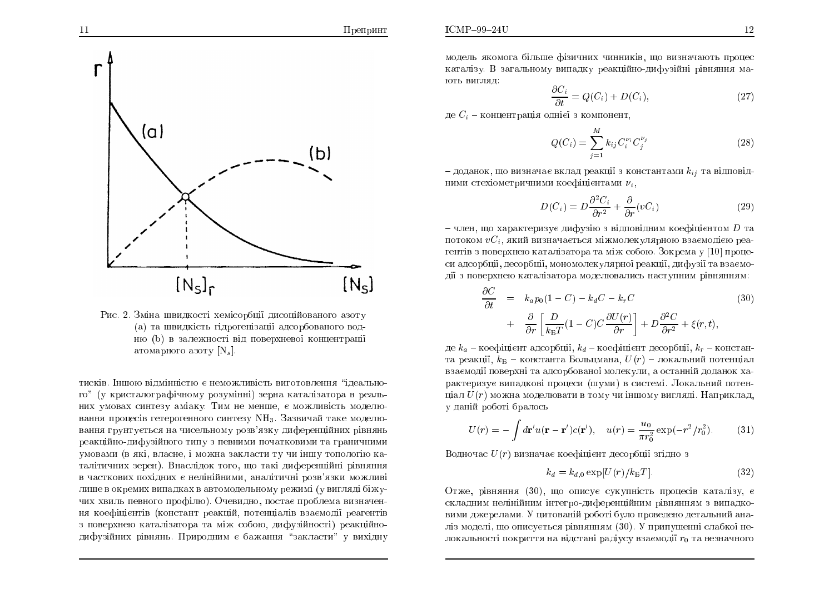$\Pi$ репринт

$$
\frac{\partial C_i}{\partial t} = Q(C_i) + D(C_i),\tag{27}
$$

де  $C_i$  – концентрація однієї з компонент,

$$
Q(C_i) = \sum_{j=1}^{M} k_{ij} C_i^{\nu_i} C_j^{\nu_j}
$$
 (28)

– доданок, що визначає вклад реакції з константами  $k_{ij}$  та відповідними стехіометричними коефіцієнтами  $\nu_i,$ 

$$
D(C_i) = D \frac{\partial^2 C_i}{\partial r^2} + \frac{\partial}{\partial r} (vC_i)
$$
 (29)

 $-$  член, що характеризує дифузію з відповідним коефіцієнтом  $D$  та $\sim$ потоком  $vC_i$ , який визначається міжмолекулярною взаємодією реагентів з поверхнею каталізатора та між собою. Зокрема у [10] проце-<br>си адзербиї, десербий, менемедення проції, подинії де просис си адсорбції, десорбції, мономолекулярної реакції, дифузії та взаємодії з поверхнею каталізатора моделювались наступним рівнянням:<br>.

$$
\frac{\partial C}{\partial t} = k_a p_0 (1 - C) - k_d C - k_r C \tag{30}
$$
\n
$$
+ \frac{\partial}{\partial r} \left[ \frac{D}{k_B T} (1 - C) C \frac{\partial U(r)}{\partial r} \right] + D \frac{\partial^2 C}{\partial r^2} + \xi(r, t),
$$

де  $k_a$  – коефіцієнт адсорбції,  $k_d$  – коефіцієнт десорбції,  $k_r$  – константа реакції,  $k_{\rm B}$  – константа Больцмана,  $U(r)$  – локальний потенціал взаємодії поверхні та адсорбованої молекули, а останній доданок характеризує випадкові процеси (шуми) в системі. Локальний потенціал  $U(r)$  можна моделювати в тому чи іншому вигляді. Наприклад, у даній роботі бралось<br>```

$$
U(r) = -\int d\mathbf{r}' u(\mathbf{r} - \mathbf{r}')c(\mathbf{r}'), \quad u(r) = \frac{u_0}{\pi r_0^2} \exp(-r^2/r_0^2). \tag{31}
$$

Водночас  $U(r)$  визначає коефіцієнт десорбції згідно з

$$
k_d = k_{d,0} \exp[U(r)/k_{\rm B}T].
$$
 (32)

Отже, рівняння  $(30)$ , що описує сукупність процесів каталізу, є ÓËÌÁÄÎÉÍ ÎÅÌÎÊÎÉÍ ÎÔÅÇÒÏ-ÄÉÆÅÒÅÎÊÎÉÍ <sup>Ò</sup>×ÎÑÎÎÑÍ <sup>Ú</sup> ×ÉÁÄËÏ- ×ÉÍÉ ÄÖÅÒÅÌÁÍÉ. <sup>õ</sup> ÉÔÏ×ÁÎÊ ÒÏÂÏÔ ÂÕÌÏ ÒÏ×ÅÄÅÎÏ ÄÅÔÁÌØÎÉÊ ÁÎÁліз моделі, що описується рівнянням (30). У припущенні слабкої нелокальності покриття на відстані радіусу взаємодії  $r_{\rm 0}$  та незначного





тисків. Іншою відмінністю є неможливість виготовлення "ідеального" (у кристалографічному розумінні) зерна каталізатора в реаль<mark>-</mark> них умовах синтезу аміаку. Тим не менше, є можливість моделювання процесів гетерогенного синтезу  $\mathrm{NH}_3$ . Зазвичай таке моделювання грунтується на чисельному розв'язку диференційних рівнянь реакційно-дифузійного типу з певними початковими та граничними умовами (в які, власне, і можна закласти ту чи іншу топологію каталітичних зерен). Внаслідок того, що такі диференційні рівняння<br> в часткових похідних є нелінійними, аналітичні розв'язки можливі лише в окремих випадках в автомодельному режимі (у вигляді біжучих хвиль певного профілю). Очевидно, постає проблема визначення коефіцієнтів (констант реакцій, потенціалів взаємодії реагентів з поверхнею каталізатора та між собою, дифузійності) реакційно-<br>правивійних ріпняш. Природниць з бощоння "рандасти" и антіани дифузійних рівнянь. Природним є бажання "закласти" у вихідну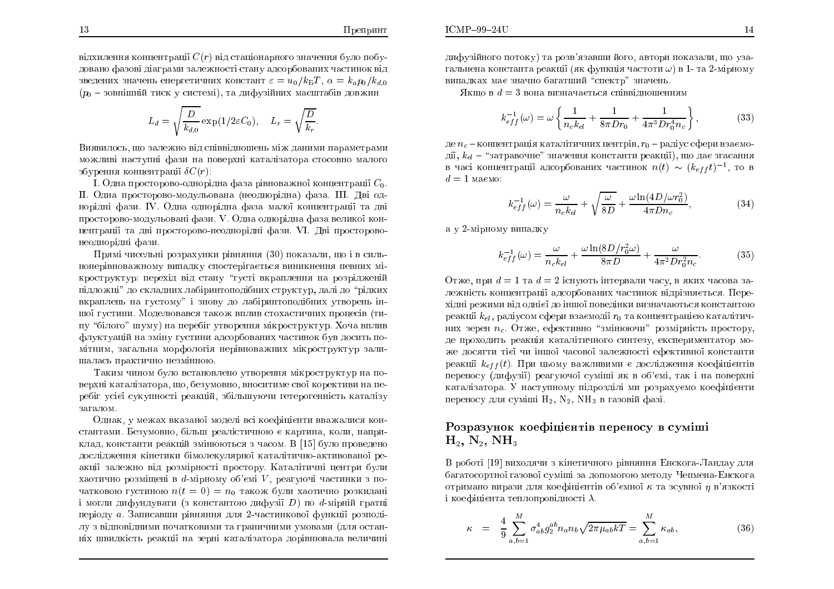13

відхилення концентрації  $C(r)$  від стаціонарного значення було побудовано фазові діаграми залежності стану адсорбованих частинок від<br>——————————————————— зведених значень енергетичних констант  $\varepsilon=u_0/k_{\rm B}T,\,\alpha=k_a p_0/k_{d,0}$  $(p_{0}-\rm{3}$ овнішній тиск у системі), та дифузійних масштабів довжин

$$
L_d = \sqrt{\frac{D}{k_{d,0}}} \exp(1/2\varepsilon C_0), \quad L_r = \sqrt{\frac{D}{k_r}}.
$$

Виявилось, що залежно від співвідношень між даними параметрами можливі наступні фази на поверхні каталізатора стосовно малого збурення концентрації  $\delta C(r)$ :

I. Одна просторово-однорідна фаза рівноважної концентрації  $C_0$ . II. Одна просторово-модульована (неоднорідна) фаза. III. Дві однорідні фази. IV. Одна однорідна фаза малої концентрації та дві просторово-модульовані фази. V. Одна однорідна фаза великої концентрації та дві просторово-неоднорідні фази. VI. Дві просторовонеоднорідні фази.

 $\Pi$ рямі чисельні розрахунки рівняння  $(30)$  показали, що і в сильнонерівноважному випадку спостерігається виникнення певних мікроструктур: перехід від стану "густі вкраплення на розрідженій підложці" до складних лабіринтоподібних структур, далі до "рідких вкраплень на густому" і знову до лабіринтоподібних утворень іншої густини. Моделювався також вплив стохастичних процесів (ти-<br>… "білеле" —……) не теребіт управання мінвастричних Усуа трупи пу "білого" шуму) на перебіг утворення мікроструктур. Хоча вплив флуктуацій на зміну густини адсорбованих частинок був досить помітним, загальна морфологія нерівноважних мікроструктур залишалась практично незмінною.

Таким чином було встановлено утворення мікроструктур на поверхні каталізатора, що, безумовно, вноситиме свої корективи на перебіг усієї сукупності реакцій, збільшуючи гетерогенність каталізу загалом.

Однак, у межах вказаної моделі всі коефіцієнти вважалися константами. Безумовно, більш реалістичною є картина, коли, наприклад, константи реакцій змінюються з часом. В [15] було проведено дослідження кінетики бімолекулярної каталітично-активованої реакції залежно від розмірності простору. Каталітичні центри були хаотично розміщені в  $d$ -мірному об'ємі  $V,$  реагуючі частинки з початковою густиною  $n(t = 0) = n_0$  також були хаотично розкидані і могли дифундувати (з константою дифузії D) по d-мірній гратці<br>С періоду *а*. Записавши рівняння для 2-частинкової функції розподі<mark>-</mark> лу з відповідними початковими та граничними умовами (для остан<mark>-</mark> ніх швидкість реакції на зерні каталізатора дорівнювала величині  $R$ кщо в  $d=3$  вона визначається співвідношенням

$$
k_{eff}^{-1}(\omega) = \omega \left\{ \frac{1}{n_c k_{el}} + \frac{1}{8\pi D r_0} + \frac{1}{4\pi^3 D r_0^4 n_c} \right\},
$$
(33)

де  $n_c$  – концентрація каталітичних центрів,  $r_0$  – радіус сфери взаємодії,  $k_{el}$  – "затравочне" значення константи реакції), що дає згасання в часі концентрації адсорбованих частинок  $n(t) \, \sim \, (k_{eff} t)^{-1},$  то в  $d = 1$  маємо:

$$
k_{eff}^{-1}(\omega) = \frac{\omega}{n_c k_{el}} + \sqrt{\frac{\omega}{8D}} + \frac{\omega \ln(4D/\omega r_0^2)}{4\pi D n_c},
$$
(34)

а у 2-мірному випадку

$$
k_{eff}^{-1}(\omega) = \frac{\omega}{n_c k_{el}} + \frac{\omega \ln(8D/r_0^2 \omega)}{8\pi D} + \frac{\omega}{4\pi^2 D r_0^2 n_c}.
$$
 (35)

Отже, при  $d=1$  та  $d=2$  існують інтервали часу, в яких часова залежність концентрації адсорбованих частинок відрізняється. Перехідні режими від однієї до іншої поведінки визначаються константою<br>. реакції  $k_{el}$ , радіусом сфери взаємодії  $r_0$  та концентрацією каталітичних зерен  $n_c$ . Отже, ефективно "змінюючи" розмірність простору, де проходить реакція каталітичного синтезу, експериментатор може досягти тієї чи іншої часової залежності ефективної константи<br>——————————————————— реакції  $k_{eff}(t)$ . При цьому важливими є дослідження коефіцієнтів переносу (дифузії) реагуючої суміші як в об'ємі, так і на поверхні каталізатора. У наступному підрозділі ми розрахуємо коефіцієнти<br>Поділісті ї Ії Мідії дії дії дії дії дії дії переносу для суміші  $\rm H_2,\,N_2,\,NH_3$  в газовій фазі.

### òÏÚÒÁÚÕÎÏË ËÏÅÆ¤ÎÔ× ÅÒÅÎÏÓÕ × ÓÕÍÛ  $\mathrm{H}_2,\,\mathrm{N}_2,\,\mathrm{NH}_3$

В роботі [19] виходячи з кінетичного рівняння Енскога-Ландау для<br>< багатосортної газової суміші за допомогою методу Чепмена-Енскога<br>. отримано вирази для коефіцієнтів об'ємної  $\kappa$  та зсувної  $\eta$  в'язкості і коефіцієнта теплопровідності  $\lambda$ .

$$
\kappa = \frac{4}{9} \sum_{a,b=1}^{M} \sigma_{ab}^4 g_2^{ab} n_a n_b \sqrt{2\pi \mu_{ab} kT} = \sum_{a,b=1}^{M} \kappa_{ab}, \qquad (36)
$$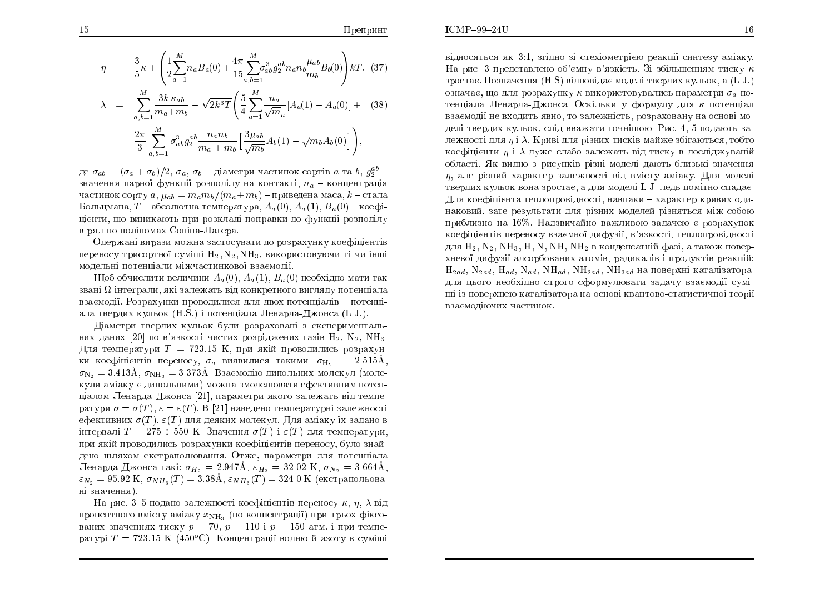$$
\eta = \frac{3}{5}\kappa + \left(\frac{1}{2}\sum_{a=1}^{M} n_a B_a(0) + \frac{4\pi}{15} \sum_{a,b=1}^{M} \sigma_{ab}^3 g_2^{ab} n_a n_b \frac{\mu_{ab}}{m_b} B_b(0)\right) kT, (37)
$$
  

$$
\lambda = \sum_{a,b=1}^{M} \frac{3k \kappa_{ab}}{m_a + m_b} - \sqrt{2k^3} T \left(\frac{5}{4} \sum_{a=1}^{M} \frac{n_a}{\sqrt{m_a}} [A_a(1) - A_a(0)] + (38)
$$
  

$$
\frac{2\pi}{3} \sum_{a,b=1}^{M} \sigma_{ab}^3 g_2^{ab} \frac{n_a n_b}{m_a + m_b} \left[\frac{3\mu_{ab}}{\sqrt{m_b}} A_b(1) - \sqrt{m_b} A_b(0)\right] \right),
$$

де  $\sigma_{ab} = (\sigma_a + \sigma_b)/2$ ,  $\sigma_a$ ,  $\sigma_b$  – діаметри частинок сортів *а* та  $b$ ,  $g_2^{ab}$  – значення парної функції розподілу на контакті,  $n_a$  — концентрація частинок сорту  $a, \mu_{ab}=m_a m_b/(m_a+m_b)$  – приведена маса,  $k$  – стала Больцмана,  $T$  – абсолютна температура,  $A_a(0)$ ,  $A_a(1)$ ,  $B_a(0)$  – коефіцієнти, що виникають при розкладі поправки до функці<mark>ї</mark> розподілу в ряд по поліномах Соніна-Лагера.<br>-

Одержані вирази можна застосувати до розрахунку коефіцієнтів переносу трисортної суміші  $\rm H_2, N_2, NH_3$ , використовуючи ті чи інші модельні потенціали міжчастинкової взаємодії.<br>————————————————————

Щоб обчислити величини  $A_a(0), A_a(1), B_a(0)$  необхідно мати так звані  $\Omega$ -інтеґрали, які залежать від конкретного вигляду потенціала взаємодії. Розрахунки проводилися для двох потенціалів – потенціала твердих кульок (H.S.) і потенціала Ленарда-Джонса (L.J.).

Діаметри твердих кульок були розраховані з експерименталь<mark>-</mark> них даних  $[20]$  по в'язкості чистих розріджених газів  $\rm H_2,\ N_2,\ NH_3.$ Для температури  $T = 723.15$  K, при якій проводились розрахунки коефіцієнтів переносу,  $\sigma_a$  виявилися такими:  $\sigma_{\text{H}_2} = 2.515 \text{\AA}$ ,  $\sigma_{\rm N_2} = 3.413 \text{\AA}$ ,  $\sigma_{\rm NH_3} = 3.373 \text{\AA}$ . Взаємодію дипольних молекул (моле кули аміаку є дипольними) можна змоделювати ефективним потенціалом Ленарда-Джонса [21], параметри якого залежать від температури  $\sigma = \sigma(T), \ \varepsilon = \varepsilon(T).$  В [21] наведено температурні залежності ефективних  $\sigma(T), \varepsilon(T)$  для деяких молекул. Для аміаку їх задано в інтервалі  $T= 275 \div 550$  К. Значення  $\sigma(T)$  і  $\varepsilon(T)$  для температури, при якій проводились розрахунки коефіцієнтів переносу, було знайдено шляхом екстраполювання. Отже, параметри для потенціала Ленарда-Джонса такі:  $\sigma_{H_2} = 2.947\text{\AA}$ ,  $\varepsilon_{H_2} = 32.02 \text{ K}$ ,  $\sigma_{N_2} = 3.664\text{\AA}$ ,  $\varepsilon_{N_2} = 95.92 \text{ K}, \, \sigma_{NH_3}(T) = 3.38 \text{\AA}, \, \varepsilon_{NH_3}(T) = 324.0 \text{ K} \text{ (екстрапohobba-}$ ні значення).

На рис. 3–5 подано залежності коефіцієнтів переносу  $\kappa, \, \eta, \, \lambda$  від процентного вмісту аміаку  $x_{\rm NH_3}$  (по концентрації) при трьох фіксованих значеннях тиску  $p = 70, p = 110$  і  $p = 150$  атм. і при температурі  $T = 723.15\,$  K  $\,(450^o\rm{C})$ . Концентрації водню й азоту в суміші відносяться як 3:1, згідно зі стехіометрією реакції синтезу аміаку.<br>П На рис. 3 представлено об'ємну в'язкість. Зі збільшенням тиску  $\kappa$ зростає. Позначення  $(\rm H.S)$  відповідає моделі твердих кульок, а  $(\rm L.J.)$ означає, що для розрахунку  $\kappa$  використовувались параметри  $\sigma_a$  потенціала Ленарда-Джонса. Оскільки у формулу для  $\kappa$  потенціал взаємодії не входить явно, то залежність, розраховану на основі моделі твердих кульок, слід вважати точнішою. Рис. 4, 5 подають залежності для  $\eta$  і  $\lambda$ . Криві для різних тисків майже збігаються, тобто коефіцієнти  $\eta$  і  $\lambda$  дуже слабо залежать від тиску в досліджуваній області. Як видно з рисунків різні моделі дають близькі значення<br>—  $\eta,$  але різний характер залежності від вмісту аміаку. Для моделі твердих кульок вона зростає, а для моделі L.J. ледь помітно спадає. Для коефіцієнта теплопровідності, навпаки – характер кривих одинаковий, зате результати для різних моделей різняться між собою приблизно на 16%. Надзвичайно важливою задачею є розрахунок<br>. коефіцієнтів переносу взаємної дифузії, в'язкості, теплопровідності для  $H_2$ ,  $N_2$ ,  $NH_3$ ,  $H$ ,  $N$ ,  $NH$ ,  $NH_2$  в конденсатній фазі, а також поверхневої дифузії адсорбованих атомів, радикалів і продуктів реакцій:  $\rm{H}_{2ad},\ \rm{N}_{2ad},\ \rm{H}_{ad},\ \rm{NH}_{ad},\ \rm{NH}_{2ad},\ \rm{NH}_{3ad}$  на поверхні каталізатора. для цього необхідно строго сформулювати задачу взаємоді<mark>ї</mark> суміші із поверхнею каталізатора на основі квантово-статистичної теорії<br>. взаємодіючих частинок.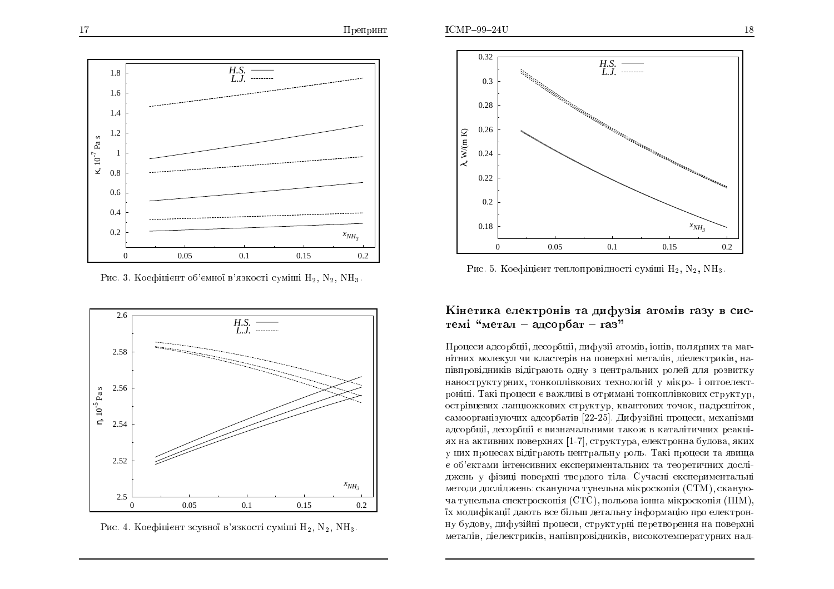

Рис. 3. Коефіцієнт об'ємної в'язкості суміші  $\rm H_2,\, N_2,\, NH_3.$ 



Рис. 4. Коефіцієнт зсувної в'язкості суміші  $\rm H_2,\, N_2,\, NH_3.$ 



Рис. 5. Коефіцієнт теплопровідності суміші  $\rm H_2,\, N_2,\, NH_3.$ 

## Кінетика електронів та дифузія атомів газу в системі"метал – ад ${\rm cop}$ бат – газ"

Процеси адсорбції, десорбції, дифузії атомів, іонів, полярних та маг-<br>. нітних молекул чи кластерів на поверхні металів, діелектриків, на-<br> півпровідників відіграють одну з центральних ролей для розвитку наноструктурних, тонкоплівкових технологій у мікро- і оптоелектроніці. Такі процеси є важливі в отримані тонкоплівкових структур, острівцевих ланцюжкових структур, квантових точок, надрешіток, самоорганізуючих адсорбатів [22-25]. Дифузійні процеси, механізми адсорбції, десорбції є визначальними також в каталітичних реакці-<br>— не одининить половинан [1–7] отвинанно одонавенно билого лини ях на активних поверхнях  $\left[ 1\text{-}7 \right]$ , структура, електронна будова, яких у цих процесах відіграють центральну роль. Такі процеси та явища є об'єктами інтенсивних експериментальних та теоретичних досліджень у фізиці поверхні твердого тіла. Сучасні експериментальні методи досліджень: скануюча тунельна мікроскопія  $\rm (CTM),$  скануюча тунельна спектроскопія ( $\operatorname{CTC}),$  польова іонна мікроскопія  $(\mathrm{HIM}),$ їх модифікації дають все більш детальну інформацію про електрон-<br>С ну будову, дифузійні процеси, структурні перетворення на поверхні металів, діелектриків, напівпровідників, високотемпературних над-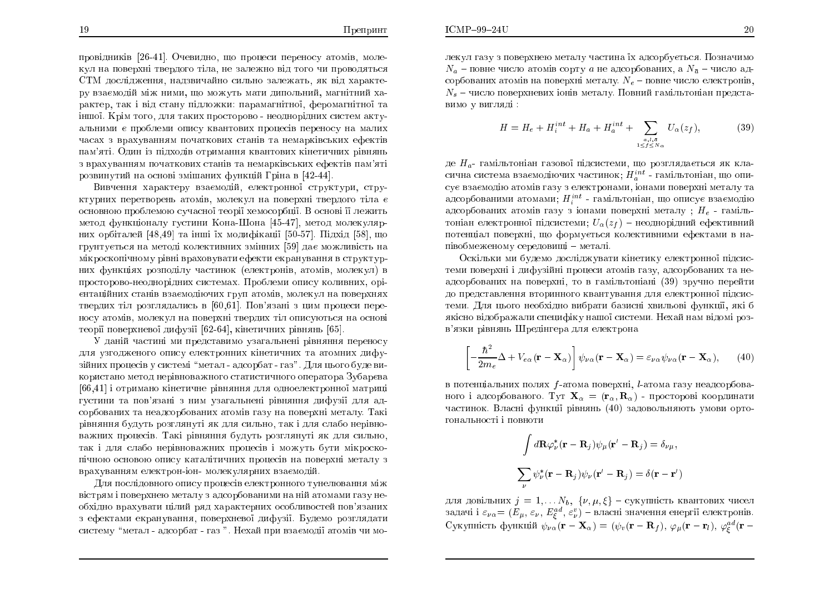провідників [26-41]. Очевидно, що процеси переносу атомів, молекул на поверхні твердого тіла, не залежно від того чи проводяться<br>~ СТМ дослідження, надзвичайно сильно залежать, як від характе-<br>py passyonin viw www. wo yowww. yazy wwory win yopyizwin ру взаємодій між ними, що можуть мати дипольний, магнітний ха-<br>рандар дан і від аданн діоданняю дараматілюї, фараматтілюї да рактер, так і від стану підложки: парамагнітної, феромагнітної та іншої. Крім того, для таких просторово - неоднорідних систем актуальними є проблеми опису квантових процесів переносу на малих часах з врахуванням початкових станів та немарківських ефектів пам'яті. Один із підходів отримання квантових кінетичних рівнянь з врахуванням початкових станів та немарківських ефектів пам'яті розвинутий на основі змішаних функцій Гріна в [42-44].

Вивчення характеру взаємодій, електронної структури, структурних перетворень атомів, молекул на поверхні твердого тіла є ÏÓÎÏ×ÎÏÀ ÒÏÂÌÅÍÏÀ ÓÕÞÁÓÎÏ§ ÔÅÏÒ§ ÈÅÍÏÓÏÒÂ§. <sup>÷</sup> ÏÓÎÏ× §§ ÌÅÖÉÔØ метод функціоналу густини Кона-Шона [45-47], метод молекулярних орбіталей [48,49] та інші їх модифікації [50-57]. Підхід [58], що грунтується на методі колективних змінних [59] дає можливість на мікроскопічному рівні враховувати ефекти екранування в структурних функціях розподілу частинок (електронів, атомів, молекул) в просторово-неоднорідних системах. Проблеми опису коливних, орієнтаційних станів взаємодіючих груп атомів, молекул на поверхнях<br>——————————————————— твердих тіл розглядались в [60,61]. Пов'язані з цим процеси переносу атомів, молекул на поверхні твердих тіл описуються на основі теорії поверхневої дифузії  $[62\text{-}64],$  кінетичних рівнянь  $[65].$ 

У даній частині ми представимо узагальнені рівняння переносу<br>І для узгодженого опису електронних кінетичних та атомних дифузійних процесів у системі "метал - адсорбат - газ". Для цього буде використано метод нерівноважного статистичного оператора Зубарєва<br>Геолік  $[66,\!41]$  і отримано кінетичне рівняння для одноелектронної матриці густини та пов'язані з ним узагальнені рівняння дифузії для адсорбованих та неадсорбованих атомів газу на поверхні металу. Такі рівняння будуть розглянуті як для сильно, так і для слабо нерівноважних процесів. Такі рівняння будуть розглянуті як для сильно, так і для слабо нерівноважних процесів і можуть бути мікроскопічною основою опису каталітичних процесів на поверхні металу з<br>. врахуванням електрон-іон- молекулярних взаємодій.<br>П

Для послідовного опису процесів електронного тунелювання між вістрям і поверхнею металу з адсорбованими на ній атомами газу необхідно врахувати цілий ряд характерних особливостей пов'язаних з ефектами екранування, поверхневої дифузії. Будемо розглядати систему "метал - адсорбат - газ ". Нехай при взаємодії атомів чи молекул газу з поверхнею металу частина їх адсорбується. Позначимо<br>М  $N_a$  – повне число атомів сорту  $a$  не адсорбованих, а  $N_{\bar a}$  – число адсорбованих атомів на поверхні металу.  $N_e$  – повне число електронів,  $N_s$  – число поверхневих іонів металу. Повний гамільтоніан представимо у вигляді :

$$
H = H_e + H_i^{int} + H_a + H_a^{int} + \sum_{\substack{a,l,\bar{a} \\ 1 \leq f \leq N_{\alpha}}} U_{\alpha}(z_f),
$$
 (39)

де  $H_a$ - гамільтоніан газової підсистеми, що розглядається як класична система взаємодіючих частинок;  $H^{int}_a$  - гамільтоніан, що описує взаємодію атомів газу з електронами, іонами поверхні металу та адсорбованими атомами;  $H_i^{int}$  - гамільтоніан, що описує взаємодію адсорбованих атомів газу з іонами поверхні металу ;  $H_e$  - гамільтоніан електронної підсистеми;  $U_\alpha(z_f)$  — неоднорідний ефективний потенціал поверхні, що формується колективними ефектами в напівобмеженому середовищі – металі.<br>-

Оскільки ми будемо досліджувати кінетику електронної підсистеми поверхні і дифузійні процеси атомів газу, адсорбованих та неадсорбованих на поверхні, то в гамільтоніані (39) зручно пере<mark>й</mark>ти до представлення вторинного квантування для електронної підсистеми. Для цього необхідно вибрати базисні хвильові функції, які б якісно відображали специфіку нашої системи. Нехай нам відомі роз-<br>. в'язки рівнянь Шредінгера для електрона

$$
\left[ -\frac{\hbar^2}{2m_e} \Delta + V_{e\alpha} (\mathbf{r} - \mathbf{X}_{\alpha}) \right] \psi_{\nu\alpha} (\mathbf{r} - \mathbf{X}_{\alpha}) = \varepsilon_{\nu\alpha} \psi_{\nu\alpha} (\mathbf{r} - \mathbf{X}_{\alpha}), \qquad (40)
$$

в потенціальних полях  $f$ -атома поверхні,  $l$ -атома газу неадсорбованого і адсорбованого. Тут  $\mathbf{X}_{\alpha} = (\mathbf{r}_{\alpha}, \mathbf{R}_{\alpha})$  - просторові координати частинок. Власні функції рівнянь (40) задовольняють умови ортогональності і повнот<mark>и</mark>

$$
\int d\mathbf{R} \varphi_{\nu}^* (\mathbf{r} - \mathbf{R}_j) \psi_{\mu} (\mathbf{r}' - \mathbf{R}_j) = \delta_{\nu \mu},
$$
  

$$
\sum_{\nu} \psi_{\nu}^* (\mathbf{r} - \mathbf{R}_j) \psi_{\nu} (\mathbf{r}' - \mathbf{R}_j) = \delta (\mathbf{r} - \mathbf{r}')
$$

для довільних  $j = 1, ..., N_b, \{ \nu, \mu, \xi \} - \text{cykyunictь квантових чисел}$ задачі і  $\varepsilon_{\nu\alpha} = (E_{\mu}, \, \varepsilon_{\nu}, \, E^{ad}_{\xi}, \, \varepsilon^{v}_{\nu})$  – власні значення енергії електронів. Сукупність функцій  $\psi_{\nu \alpha}(\mathbf{r}-\mathbf{X}_{\alpha}) = (\psi_v(\mathbf{r}-\mathbf{R}_f), \varphi_{\mu}(\mathbf{r}-\mathbf{r}_l), \varphi_{\xi}^{ad}(\mathbf{r}-$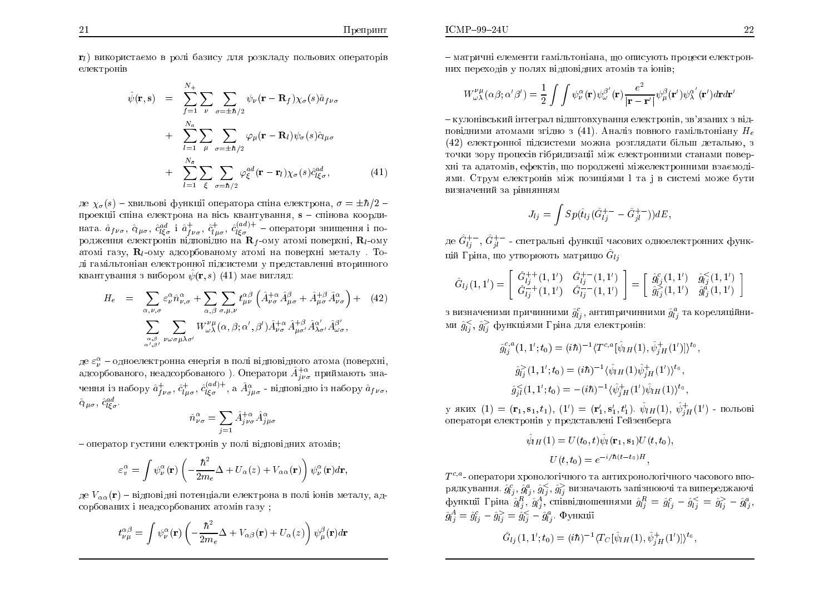$r_l$ ) використаємо в ролі базису для розкладу польових операторів електронів

$$
\hat{\psi}(\mathbf{r}, \mathbf{s}) = \sum_{f=1}^{N_{+}} \sum_{\nu} \sum_{\sigma = \pm \hbar/2} \psi_{\nu}(\mathbf{r} - \mathbf{R}_{f}) \chi_{\sigma}(s) \hat{a}_{f\nu\sigma} \n+ \sum_{l=1}^{N_{a}} \sum_{\mu} \sum_{\sigma = \pm \hbar/2} \varphi_{\mu}(\mathbf{r} - \mathbf{R}_{l}) \psi_{\sigma}(s) \hat{c}_{l\mu\sigma} \n+ \sum_{l=1}^{N_{\bar{a}}} \sum_{\xi} \sum_{\sigma = \hbar/2} \varphi_{\xi}^{ad}(\mathbf{r} - \mathbf{r}_{l}) \chi_{\sigma}(s) \hat{c}_{l\xi\sigma}^{ad},
$$
\n(41)

де  $\chi_{\sigma}(s)$  – хвильові функції оператора спіна електрона,  $\sigma = \pm \hbar/2$  – проекції спіна електрона на вісь квантування, s – спінова коорди-<br>ната.  $\hat{a}_{f\nu\sigma}$ ,  $\hat{c}_{l\mu\sigma}$ ,  $\hat{c}_{l\sigma}^{ad}$  i  $\hat{a}_{f\nu\sigma}^+$ ,  $\hat{c}_{l\sigma}^{+}$ ,  $\hat{c}_{l\sigma}^{(ad)+}$  – оператори знищення і по-<br>родження електронів відп атомі газу,  $\mathbf{R}_l$ -ому адсорбованому атомі на поверхні металу. Тоді гамільтоніан електронної підсистеми у представленні вторинного квантування з вибором  $\hat{\psi}(\mathbf{r},s)$  (41) має вигляд:

$$
H_{e} = \sum_{\alpha,\nu,\sigma} \varepsilon^{\alpha}_{\nu} \hat{n}^{\alpha}_{\nu,\sigma} + \sum_{\alpha,\beta} \sum_{\sigma,\mu,\nu} t^{\alpha\beta}_{\mu\nu} \left( \hat{A}^{+\alpha}_{\nu\sigma} \hat{A}^{\beta}_{\mu\sigma} + \hat{A}^{+\beta}_{\mu\sigma} \hat{A}^{\alpha}_{\nu\sigma} \right) + (42)
$$
  

$$
\sum_{\alpha,\beta \atop \alpha',\beta'} \sum_{\nu \omega \sigma \mu \lambda \sigma'} W^{\nu\mu}_{\omega\lambda}(\alpha,\beta;\alpha',\beta') \hat{A}^{+\alpha}_{\nu\sigma} \hat{A}^{+\beta}_{\mu\sigma'} \hat{A}^{\alpha'}_{\lambda\sigma'} \hat{A}^{\beta'}_{\omega\sigma},
$$

де  $\varepsilon_{\nu}^{\alpha}$  – одноелектронна енергія в полі відповідного атома (поверхні, адсорбованого, неадсорбованого). Оператори  $\hat{A}_{j\nu\sigma}^{+\alpha}$  приймають значення із набору $\hat{a}^+_{f\nu\sigma},\,\hat{c}^+_{l\mu\sigma},\,\hat{c}^{(ad)+}_{l\xi\sigma},$ а $\hat{A}^\alpha_{j\mu\sigma}$ - відповідно із набору $\hat{a}_{f\nu\sigma},$  $\hat{c}_{l\mu\sigma}$ ,  $\hat{c}_{l\epsilon\sigma}^{ad}$ 

$$
\hat{n}^{\alpha}_{\nu\sigma} = \sum_{j=1} \hat{A}^{+\alpha}_{j\nu\sigma} \hat{A}^{\alpha}_{j\mu\sigma}
$$

- оператор густини електронів у полі відповідних атомів;

$$
\varepsilon_v^{\alpha} = \int \psi_{\nu}^{\alpha}(\mathbf{r}) \left( -\frac{\hbar^2}{2m_e} \Delta + U_{\alpha}(z) + V_{\alpha \alpha}(\mathbf{r}) \right) \psi_{\nu}^{\alpha}(\mathbf{r}) d\mathbf{r},
$$

де  $V_{\alpha\alpha}(\mathbf{r})$  – відповідні потенціали електрона в полі іонів металу, адсорбованих і неадсорбованих атомів газу:

$$
t^{\alpha\beta}_{\nu\mu} = \int \psi^{\alpha}_{\nu}(\mathbf{r}) \left( -\frac{\hbar^2}{2m_e} \Delta + V_{\alpha\beta}(\mathbf{r}) + U_{\alpha}(z) \right) \psi^{\beta}_{\mu}(\mathbf{r}) d\mathbf{r}
$$

- матричні елементи гамільтоніана, що описують процеси електронних переходів у полях відповідних атомів та іонів;

$$
W^{\nu\,\mu}_{\omega\lambda}(\alpha\beta;\alpha'\beta')=\frac{1}{2}\int\int\psi^{\alpha}_{\nu}({\bf r})\psi^{\beta'}_{\omega}({\bf r})\frac{e^2}{|{\bf r}-{\bf r}'|}\psi^{\beta}_{\mu}({\bf r}')\psi^{\alpha'}_{\lambda}({\bf r}')d{\bf r}d{\bf r}'
$$

- кулонівський інтеграл відштовхування електронів, зв'язаних з відповідними атомами згідно з (41). Аналіз повного гамільтоніану  $H_e$ (42) електронної підсистеми можна розглядати більш детально, з точки зору процесів гібридизації між електронними станами поверхні та адатомів, ефектів, що породжені міжелектронними взаємодіями. Струм електронів між позиціями 1 та і в системі може бути визначений за рівнянням

$$
J_{lj} = \int Sp(\hat{t}_{lj}(\hat{G}_{lj}^{+-} - \hat{G}_{jl}^{+-}))dE,
$$

де $\hat G_{li}^{+-},\, \hat G_{il}^{+-}$ - спетральні функції часових одно<br/>електронних функцій Гріна, що утворюють матрицю  $\hat{G}_{li}$ 

$$
\hat{G}_{lj}(1,1') = \begin{bmatrix} \hat{G}_{lj}^{++}(1,1') & \hat{G}_{lj}^{+-}(1,1') \\ \hat{G}_{lj}^{-+}(1,1') & \hat{G}_{lj}^{--}(1,1') \end{bmatrix} = \begin{bmatrix} \hat{g}_{lj}^{c}(1,1') & \hat{g}_{lj}^{<}(1,1') \\ \hat{g}_{lj}^{>}(1,1') & \hat{g}_{lj}^{a}(1,1') \end{bmatrix}
$$

з визначеними причинними $\hat{g}^c_{lj},$ антипричинними $\hat{g}^a_{lj}$ та кореляційними  $\hat{g}_{ij}^<$ ,  $\hat{g}_{ij}^>$  функціями Гріна для електронів:

$$
\hat{g}_{lj}^{c,a}(1,1';t_0) = (i\hbar)^{-1} \langle T^{c,a} [\hat{\psi}_{lH}(1), \hat{\psi}_{jH}^+(1')] \rangle^{t_0},
$$
  

$$
\hat{g}_{lj}^>(1,1';t_0) = (i\hbar)^{-1} \langle \hat{\psi}_{lH}(1) \hat{\psi}_{jH}^+(1') \rangle^{t_0},
$$
  

$$
\hat{g}_{jl}^<(1,1';t_0) = -(i\hbar)^{-1} \langle \hat{\psi}_{jH}^+(1') \hat{\psi}_{lH}(1) \rangle^{t_0},
$$

у яких (1) =  $(\mathbf{r}_1, \mathbf{s}_1, t_1)$ , (1') =  $(\mathbf{r}'_1, \mathbf{s}'_1, t'_1)$ .  $\hat{\psi}_{lH}(1)$ ,  $\hat{\psi}_{iH}^+(1')$  - польові оператори електронів у представлені Гейзенберга

$$
\hat{\psi}_{lH}(1) = U(t_0, t)\hat{\psi}_l(\mathbf{r}_1, \mathbf{s}_1)U(t, t_0),
$$

$$
U(t, t_0) = e^{-i/\hbar (t - t_0)H},
$$

 $T^{c,a}$ - оператори хронологічного та антихронологічного часового впорядкування.  $\hat{g}^c_{lj}$ ,  $\hat{g}^a_{lj}$ ,  $\hat{g}^c_{lj}$ ,  $\hat{g}^{\lambda}_{lj}$  визначають запізнюючі та випереджаючі<br>функції Гріна  $\hat{g}^R_{lj}$ ,  $\hat{g}^A_{lj}$ , співвідношеннями  $\hat{g}^R_{lj} = \hat{g}^c_{lj} - \hat{g}^c_{lj} = \hat{g}^>l}^j_j - \hat{g}^a_{$  $\hat{g}_{1i}^A = \hat{g}_{1i}^c - \hat{g}_{1i}^> = \hat{g}_{1i}^< - \hat{g}_{1i}^a$ . Функції

$$
\hat{G}_{lj}(1,1';t_0)=(i\hbar)^{-1}\langle T_C[\hat{\psi}_{lH}(1),\hat{\psi}^+_{jH}(1')]\rangle^{t_0}
$$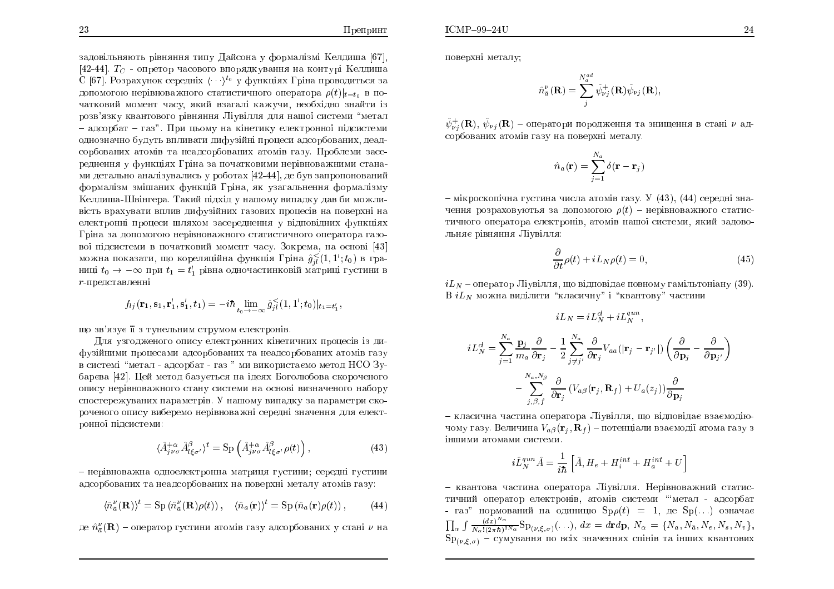$\boldsymbol{i}$ 

 $\overline{24}$ 

задовільняють рівняння типу Дайсона у формалізмі Келдиша [67],<br>Географії  $[42\text{-}44]$ .  $T_C$  - опретор часового впорядкування на контурі Келдиша С [67]. Розрахунок середніх  $\langle \cdots \rangle^{t_0}$  у функціях Гріна проводиться за допомогою нерівноважного статистичного оператора  $\rho(t)|_{t=t_0}$  в початковий момент часу, який взагалі кажучи, необхідно знайти із розв'язку квантового рівняння Ліувілля для нашої системи "метал – адсорбат – газ". При цьому на кінетику електронної підсистеми однозначно будуть впливати дифузійні процеси адсорбованих, деад-<br> сорбованих атомів та неадсорбованих атомів газу. Проблеми засереднення у функціях Гріна за початковими нерівноважними станами детально аналізувались у роботах  $\left[42\text{-}44\right]$ , де був запропонований формалізм змішаних функцій Гріна, як узагальнення формалізму<br>І <u>Келдиша-Швінгера. Такий підхід у нашому випадку дав би можли-</u> вість врахувати вплив дифузійних газових процесів на поверхні на електронні процеси шляхом засереднення у відповідних функціях<br>Г Гріна за допомогою нерівноважного статистичного оператора газо-<br>Сил вої підсистеми в початковий момент часу. Зокрема, на основі [43] можна показати, що кореляційна функція Гріна  $\hat{g}_{jl}^<(1,1';t_0)$  в границі  $t_0 \rightarrow -\infty$  при  $t_1 = t_1'$  рівна одночастинковій матриці густини в  $r_{\text{\tiny{H}}\text{-}$ попставленні  $r$ -представленні

$$
f_{lj}(\mathbf{r}_1, \mathbf{s}_1, \mathbf{r}_1', \mathbf{s}_1', t_1) = -i\hbar \lim_{t_0 \to -\infty} \hat{g}_{jl}^{\leq}(1, 1'; t_0)|_{t_1 = t_1'},
$$

що зв'язує її з тунельним струмом електронів.<br>————————————————————

Для узгодженого опису електронних кінетичних процесів із дифузійними процесами адсорбованих та неадсорбованих атомів газу<br>——————————————————— в системі "метал - адсорбат - газ " ми використаємо метод НСО Зубарєва [42]. Цей метод базується на ідеях Боголюбова скороченого опису нерівноважного стану системи на основі визначеного набору спостережуваних параметрів. У нашому випадку за параметри скороченого опису виберемо нерівноважні середні значення для електронної підсистеми:

$$
\langle \hat{A}^{+\alpha}_{j\nu\sigma} \hat{A}^{\beta}_{l\xi\sigma'} \rangle^t = \text{Sp} \left( \hat{A}^{+\alpha}_{j\nu\sigma} \hat{A}^{\beta}_{l\xi\sigma'} \rho(t) \right), \tag{43}
$$

— нерівноважна одноелектронна матриця густини; середні густини адсорбованих та неадсорбованих на поверхні металу атомів газу:

$$
\langle \hat{n}_{\bar{a}}^{\nu}(\mathbf{R})\rangle^{t} = \mathrm{Sp}\left(\hat{n}_{\bar{a}}^{\nu}(\mathbf{R})\rho(t)\right), \quad \langle \hat{n}_{a}(\mathbf{r})\rangle^{t} = \mathrm{Sp}\left(\hat{n}_{a}(\mathbf{r})\rho(t)\right),\tag{44}
$$

де  $\hat{n}_{\bar{a}}^{\nu}(\mathbf{R})$  – оператор густини атомів газу адсорбованих у стані  $\nu$  на

поверхні металу;

$$
\hat{n}_{\bar{a}}^{\nu}(\mathbf{R}) = \sum_{j}^{N_{\bar{a}}^{ad}} \hat{\psi}_{\nu j}^{+}(\mathbf{R}) \hat{\psi}_{\nu j}(\mathbf{R}),
$$

 $\hat{\psi}^+_{\nu j}(\mathbf{R}), \, \hat{\psi}_{\nu j}(\mathbf{R})$  – оператори породження та знищення в стані  $\nu$  адсорбованих атомів газу на поверхні металу.

$$
\hat{n}_a(\mathbf{r}) = \sum_{j=1}^{N_a} \delta(\mathbf{r} - \mathbf{r}_j)
$$

– мікроскопічна густина числа атомів газу. У  $(43)$ ,  $(44)$  середні значення розраховуютья за допомогою  $\rho(t)$  – нерівноважного статистичного оператора електронів, атомів нашої системи, який задовольняє рівняння Ліувілля:

$$
\frac{\partial}{\partial t}\rho(t) + iL_N\rho(t) = 0,\t\t(45)
$$

 $iL_{N}$  – оператор Ліувілля, що відповідає повному гамільтоніану (39).  ${\mathrm B}iL_N$  можна виділити "класичну" і "квантову" частини

$$
iL_N = iL_N^{cl} + iL_N^{qun},
$$
  
\n
$$
L_N^{cl} = \sum_{j=1}^{N_a} \frac{\mathbf{p}_j}{m_a} \frac{\partial}{\partial \mathbf{r}_j} - \frac{1}{2} \sum_{j \neq j'}^{N_a} \frac{\partial}{\partial \mathbf{r}_j} V_{aa}(|\mathbf{r}_j - \mathbf{r}_{j'}|) \left(\frac{\partial}{\partial \mathbf{p}_j} - \frac{\partial}{\partial \mathbf{p}_{j'}}\right)
$$
  
\n
$$
- \sum_{j,\beta,f}^{N_a,N_\beta} \frac{\partial}{\partial \mathbf{r}_j} \left(V_{a\beta}(\mathbf{r}_j, \mathbf{R}_f) + U_a(z_j)\right) \frac{\partial}{\partial \mathbf{p}_j}
$$

– класична частина оператора Ліувілля, що відповідає взаємодіючому газу. Величина  $V_{a \beta}(\mathbf{r}_j, \mathbf{R}_f)$  – потенціали взаємодії атома газу з іншими атомами системи.<br>'

$$
i\hat{L}_N^{qun}\hat{A} = \frac{1}{i\hbar} \left[ \hat{A}, H_e + H_i^{int} + H_a^{int} + U \right]
$$

– квантова частина оператора Ліувілля. Нерівноважний статистичний оператор електронів, атомів системи "'метал - адсорбат - газ" нормований на одиницю  $\mathrm{Sp}\rho(t)$  = 1, де  $\mathrm{Sp}(\dots)$  означає<br>— 1,  $(d_n)^Na$  $\prod_{\alpha} \int \frac{(dx)^{N\alpha}}{N_{\alpha}!(2\pi\hbar)^{3N\alpha}} {\rm Sp}_{(\nu,\xi,\sigma)}(\ldots), \ dx = d{\bf r} d{\bf p}, \ N_{\alpha} = \{ N_a, N_{\bar a}, N_e, N_s, N_v \},$  $\mathrm{Sp}_{(\nu,\xi,\sigma)}$  – сумування по всіх значеннях спінів та інших квантових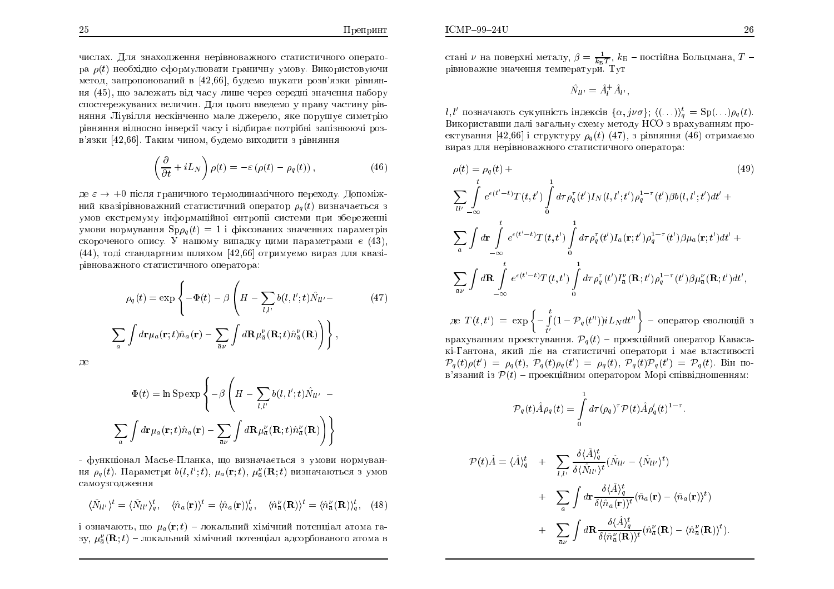$ICMP-99-24U$ 

числах. Для знаходження нерівноважного статистичного оператора  $\rho(t)$  необхідно сформулювати граничну умову. Використовуючи метод, запропонований в [42,66], будемо шукати розв'язки рівняння  $(45)$ , що залежать від часу лише через середні значення набору спостережуваних величин. Для цього введемо у праву частину рівняння Ліувілля нескінченно мале джерело, яке порушує симетрію рівняння відносно інверсії часу і відбирає потрібні запізнюючі розв'язки [42,66]. Таким чином, будемо виходити з рівняння

$$
\left(\frac{\partial}{\partial t} + iL_N\right)\rho(t) = -\varepsilon\left(\rho(t) - \rho_q(t)\right),\tag{46}
$$

де ε → +0 після граничного термодинамічного переходу. Допоміж-<br>ний кразівівноважний статистиций оператор в (t) визнащається з ний квазірівноважний статистичний оператор  $\rho_q(t)$  визначається з умов екстремуму інформаційної ентропії системи при збереженні<br>``` умови нормування  ${\rm Sp}\rho_q(t)=1$  і фіксованих значеннях параметрів скороченого опису. У нашому випадку цими параметрами є (43),  $(44)$ , тоді стандартним шляхом  $\left[42,66\right]$  отримуємо вираз для квазірівноважного статистичного оператора:

$$
\rho_q(t) = \exp\left\{-\Phi(t) - \beta \left(H - \sum_{l,l'} b(l,l';t)\hat{N}_{ll'} - (47)\right)\right\}
$$

$$
\sum_a \int d\mathbf{r} \mu_a(\mathbf{r};t)\hat{n}_a(\mathbf{r}) - \sum_{\bar{a}\nu} \int d\mathbf{R} \mu_{\bar{a}}^{\nu}(\mathbf{R};t)\hat{n}_{\bar{a}}^{\nu}(\mathbf{R})\right\},
$$

ÄÅ

$$
\Phi(t) = \ln \mathrm{Sp} \exp \left\{-\beta \left(H - \sum_{l,l'} b(l,l';t) \hat{N}_{ll'} - \sum_{a'} \int d\mathbf{r} \mu_a(\mathbf{r};t) \hat{n}_a(\mathbf{r}) - \sum_{\bar{a}\nu} \int d\mathbf{R} \mu_{\bar{a}}^{\nu}(\mathbf{R};t) \hat{n}_{\bar{a}}^{\nu}(\mathbf{R})\right)\right\}
$$

- функціонал Масьє-Планка, що визначається з умови нормування  $\rho_q\left(t\right)$ . Параметри  $b(l,l';t),\,\mu_a({\bf r};t),\,\mu_{\bar{a}}^{\nu}({\bf R};t)$  визначаються з умов самоузгодження ;

$$
\langle \hat{N}_{ll'} \rangle^t = \langle \hat{N}_{ll'} \rangle_q^t, \quad \langle \hat{n}_a(\mathbf{r}) \rangle^t = \langle \hat{n}_a(\mathbf{r}) \rangle_q^t, \quad \langle \hat{n}_a^{\nu}(\mathbf{R}) \rangle^t = \langle \hat{n}_a^{\nu}(\mathbf{R}) \rangle_q^t, \quad (48)
$$

і означають, що  $\mu_a({\bf r}; t)$  – локальний хімічний потенціал атома газу,  $\mu_{\bar a}^{\nu}({\bf R};t)$  – локальний хімічний потенціал адсорбованого атома в стані  $\nu$  на поверхні металу,  $\beta = \frac{1}{k_B T}$ ,  $k_B$  – постійна Больцмана,  $T$  – рівноважне значення температури. Тут

$$
\hat{N}_{ll'} = \hat{A}_l^+ \hat{A}_{l'},
$$

l, l' позначають сукупність індексів  $\{\alpha, j\nu\sigma\}$ ;  $\langle (\ldots) \rangle_q^t = \text{Sp}(\ldots)\rho_q(t)$ . Використавши далі загальну схему методу НСО з врахуванням проектування  $[42,66]$  і структуру  $\rho_q\left(t\right)\,\left(47\right),\,$ з рівняння  $\left(46\right)$  отримаємо вираз для нерівноважного статистичного оператора:

$$
\rho(t) = \rho_q(t) +
$$
\n
$$
\sum_{ll'} \int_{-\infty}^{t} e^{\epsilon(t'-t)} T(t, t') \int_{0}^{1} d\tau \rho_q^{\tau}(t') I_N(l, l'; t') \rho_q^{1-\tau}(t') \beta b(l, l'; t') dt' +
$$
\n
$$
\sum_{a} \int d\mathbf{r} \int_{-\infty}^{t} e^{\epsilon(t'-t)} T(t, t') \int_{0}^{1} d\tau \rho_q^{\tau}(t') I_a(\mathbf{r}; t') \rho_q^{1-\tau}(t') \beta \mu_a(\mathbf{r}; t') dt' +
$$
\n
$$
\sum_{\tilde{a}\nu} \int d\mathbf{R} \int_{-\infty}^{t} e^{\epsilon(t'-t)} T(t, t') \int_{0}^{1} d\tau \rho_q^{\tau}(t') I_a^{\nu}(\mathbf{R}; t') \rho_q^{1-\tau}(t') \beta \mu_a^{\nu}(\mathbf{R}; t') dt',
$$
\n(49)

$$
\text{Re } T(t, t') \ = \ \exp \left\{ - \int\limits_{t'}^t (1 - \mathcal{P}_q(t'')) i L_N \, dt'' \right\} \ - \ \text{oneparop ebojindi } \ 3
$$

врахуванням проектування.  ${\mathcal P}_q(t)$  – проекційний оператор Кавасакі-Гантона, який діє на статистичні оператори і має властивості  $\mathcal{P}_q(t) \rho(t') \ =\ \rho_q(t), \ \mathcal{P}_q(t) \rho_q(t') \ =\ \rho_q(t), \ \mathcal{P}_q(t) \mathcal{P}_q(t') \ =\ \mathcal{P}_q(t).$  Bin noв'язаний із  $\mathcal{P}(t)$  – проекційним оператором Морі співвідношенням:

$$
\mathcal{P}_q(t)\hat{A}\rho_q(t) = \int\limits_0^1 d\tau (\rho_q)^\tau \mathcal{P}(t)\hat{A}\rho'_q(t)^{1-\tau}
$$

$$
\mathcal{P}(t)\hat{A} = \langle \hat{A} \rangle_q^t + \sum_{l,l'} \frac{\delta \langle \hat{A} \rangle_q^t}{\delta \langle \hat{N}_{ll'} \rangle^t} (\hat{N}_{ll'} - \langle \hat{N}_{ll'} \rangle^t) \n+ \sum_a \int d\mathbf{r} \frac{\delta \langle \hat{A} \rangle_q^t}{\delta \langle \hat{n}_a(\mathbf{r}) \rangle^t} (\hat{n}_a(\mathbf{r}) - \langle \hat{n}_a(\mathbf{r}) \rangle^t) \n+ \sum_{\bar{a}\nu} \int d\mathbf{R} \frac{\delta \langle \hat{A} \rangle_q^t}{\delta \langle \hat{n}_a^{\nu}(\mathbf{R}) \rangle^t} (\hat{n}_a^{\nu}(\mathbf{R}) - \langle \hat{n}_a^{\nu}(\mathbf{R}) \rangle^t).
$$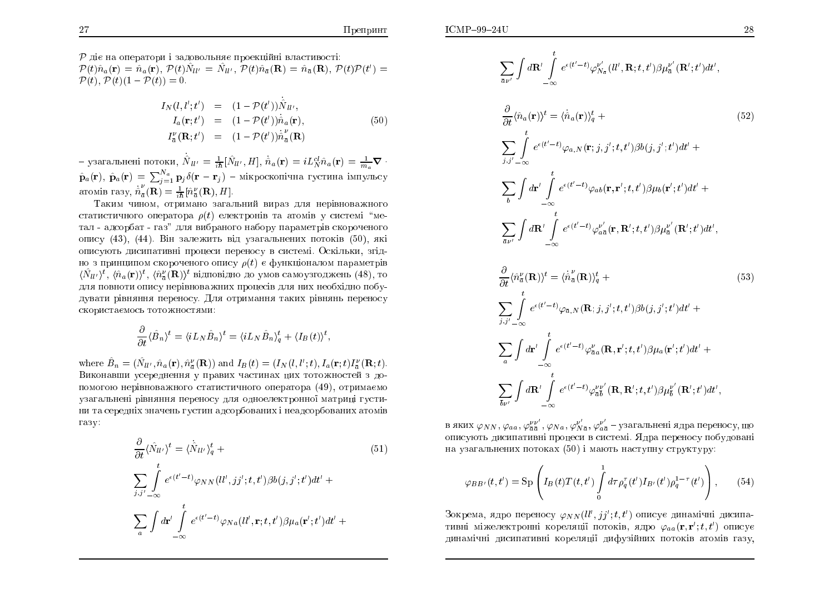$\mathcal P$  діє на оператори і задовольняє проекційні властивості:  $\mathcal{P}(t)\hat{n}_a(\mathbf{r}) = \hat{n}_a(\mathbf{r}), \ \mathcal{P}(t)\hat{N}_{ll'} = \hat{N}_{ll'}, \ \mathcal{P}(t)\hat{n}_{\bar{a}}(\mathbf{R}) = \hat{n}_{\bar{a}}(\mathbf{R}), \ \mathcal{P}(t)\mathcal{P}(t') =$  $\mathcal{P}(t), \mathcal{P}(t)(1 - \mathcal{P}(t)) = 0.$ 

$$
I_N(l, l'; t') = (1 - \mathcal{P}(t')) \hat{N}_{ll'},
$$
  
\n
$$
I_a(\mathbf{r}; t') = (1 - \mathcal{P}(t')) \dot{\hat{n}}_a(\mathbf{r}),
$$
  
\n
$$
I_a^{\nu}(\mathbf{R}; t') = (1 - \mathcal{P}(t')) \dot{\hat{n}}_a^{\nu}(\mathbf{R})
$$
\n(50)

- узагальнені потоки,  $\dot{\hat{N}}_{ll'} = \frac{1}{i\hbar} [\hat{N}_{ll'}, H], \dot{\hat{n}}_a(\mathbf{r}) = i L_N^{cl} \hat{n}_a(\mathbf{r}) = \frac{1}{m} \nabla \cdot$  $\hat{\mathbf{p}}_a(\mathbf{r}), \ \hat{\mathbf{p}}_a(\mathbf{r}) = \sum_{i=1}^{N_a} \mathbf{p}_i \delta(\mathbf{r}-\mathbf{r}_i)$  – мікроскопічна густина імпульсу aromin razy,  $\dot{\hat{n}}_{\bar{\sigma}}^{\nu}(\mathbf{R}) = \frac{1}{i\hbar} [\hat{n}_{\bar{\sigma}}^{\nu}(\mathbf{R}), H].$ 

Таким чином, отримано загальний вираз для нерівноважного статистичного оператора  $\rho(t)$  електронів та атомів у системі "метал - адсорбат - газ" для вибраного набору параметрів скороченого опису (43), (44). Він залежить від узагальнених потоків (50), які описують дисипативні процеси переносу в системі. Оскільки, згідно з принципом скороченого опису  $\rho(t)$  є функціоналом параметрів  $\langle N_{ll'}\rangle^t$ ,  $\langle \hat{n}_a(\mathbf{r})\rangle^t$ ,  $\langle \hat{n}_z^{\nu}(\mathbf{R})\rangle^t$  відповідно до умов самоузгоджень (48), то для повноти опису нерівноважних процесів для них необхідно побудувати рівняння переносу. Для отримання таких рівнянь переносу скористаємось тотожностями:

$$
\frac{\partial}{\partial t} \langle \hat{B}_n \rangle^t = \langle i L_N \hat{B}_n \rangle^t = \langle i L_N \hat{B}_n \rangle^t_q + \langle I_B(t) \rangle^t
$$

where  $\hat{B}_n = (\hat{N}_{ll'}, \hat{n}_a(\mathbf{r}), \hat{n}_a^{\nu}(\mathbf{R}))$  and  $I_B(t) = (I_N(l, l'; t), I_a(\mathbf{r}; t)I_{\overline{a}}^{\nu}(\mathbf{R}; t)).$ Виконавши усереднення у правих частинах цих тотожностей з допомогою нерівноважного статистичного оператора (49), отримаємо узагальнені рівняння переносу для одноелектронної матриці густини та середніх значень густин адсорбованих і неадсорбованих атомів газу:

$$
\frac{\partial}{\partial t} \langle \hat{N}_{ll'} \rangle^t = \langle \dot{\hat{N}}_{ll'} \rangle^t_q +
$$
\n
$$
\sum_{j,j' = \infty} \int_{-\infty}^t e^{(\mathbf{t}' - t)} \varphi_{NN}(ll',jj';t,t') \beta b(j,j';t') dt' +
$$
\n
$$
\sum_a \int d\mathbf{r}' \int_{-\infty}^t e^{(\mathbf{t}' - t)} \varphi_{Na}(ll',\mathbf{r};t,t') \beta \mu_a(\mathbf{r}';t') dt' +
$$
\n(51)

$$
\sum_{\bar{a}\nu'}\int d\mathbf{R}'\int\limits_{-\infty}^t e^{\epsilon(t'-t)}\varphi_{N_{\bar{a}}}^{\nu'}(ll',\mathbf{R};t,t')\beta\mu_{\bar{a}}^{\nu'}(\mathbf{R}';t')dt',
$$

$$
\frac{\partial}{\partial t} \langle \hat{n}_a(\mathbf{r}) \rangle^t = \langle \dot{\hat{n}}_a(\mathbf{r}) \rangle_q^t +
$$
\n
$$
\sum_{j,j' = \infty} \int_{-\infty}^t e^{\epsilon(t'-t)} \varphi_{a,N}(\mathbf{r};j,j';t,t') \beta b(j,j';t') dt' +
$$
\n
$$
\sum_b \int d\mathbf{r}' \int_{-\infty}^t e^{\epsilon(t'-t)} \varphi_{ab}(\mathbf{r},\mathbf{r}';t,t') \beta \mu_b(\mathbf{r}';t') dt' +
$$
\n
$$
\sum_{\tilde{a}\nu'} \int d\mathbf{R}' \int_{-\infty}^t e^{\epsilon(t'-t)} \varphi_{a\tilde{a}}^{\nu'}(\mathbf{r},\mathbf{R}';t,t') \beta \mu_{\tilde{a}}^{\nu'}(\mathbf{R}';t') dt',
$$
\n(52)

$$
\frac{\partial}{\partial t} \langle \hat{n}_{\bar{a}}^{\nu}(\mathbf{R}) \rangle^{t} = \langle \dot{\hat{n}}_{\bar{a}}^{\nu}(\mathbf{R}) \rangle_{q}^{t} +
$$
\n
$$
\sum_{j,j',-\infty} \int_{-\infty}^{t} e^{\epsilon(t'-t)} \varphi_{\bar{a},N}(\mathbf{R};j,j';t,t') \beta b(j,j';t') dt' +
$$
\n
$$
\sum_{a} \int d\mathbf{r}' \int_{-\infty}^{t} e^{\epsilon(t'-t)} \varphi_{\bar{a}a}^{\nu}(\mathbf{R},\mathbf{r}';t,t') \beta \mu_{a}(\mathbf{r}';t') dt' +
$$
\n
$$
\sum_{\bar{b}\nu'} \int d\mathbf{R}' \int_{-\infty}^{t} e^{\epsilon(t'-t)} \varphi_{\bar{a}\bar{b}}^{\nu}(\mathbf{R},\mathbf{R}';t,t') \beta \mu_{\bar{b}}^{\nu'}(\mathbf{R}';t') dt',
$$
\n(53)

в яких $\varphi_{NN},\varphi_{aa},\varphi_{\bar a \bar a}^{\nu \nu'},\varphi_{Na},\varphi_{N \bar a}^{\nu'} ,\varphi_{a \bar a}^{\nu'}$  – узагальнені ядра переносу, що описують дисипативні процеси в системі. Ядра переносу побудовані на узагальнених потоках (50) і мають наступну структуру:

$$
\varphi_{BB'}(t,t') = \text{Sp}\left(I_B(t)T(t,t')\int_0^1 d\tau \rho_q^{\tau}(t')I_{B'}(t')\rho_q^{1-\tau}(t')\right),\qquad(54)
$$

Зокрема, ядро переносу  $\varphi_{NN}(ll',jj';t,t')$  описує динамічні дисипативні міжелектронні кореляції потоків, ядро  $\varphi_{aa}(\mathbf{r}, \mathbf{r}'; t, t')$  описує динамічні дисипативні кореляції дифузійних потоків атомів газу,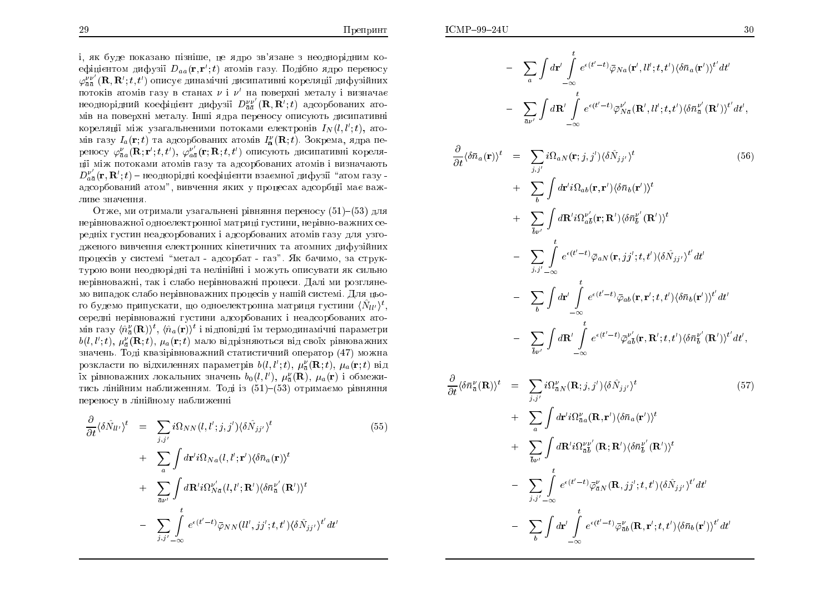і, як буде показано пізніше, це ядро зв'язане з неоднорідним коефіцієнтом дифузії  $D_{aa}(\mathbf{r}, \mathbf{r}'; t)$  атомів газу. Подібно ядро переносу  $\varphi_{\bar{a}\bar{a}}^{\nu\nu'}({\bf R},{\bf R}';t,t')$  описує динамічні дисипативні кореляції дифузійних ;;потоків атомів газу в станах  $\nu$  і  $\nu'$  на поверхні металу і визначає неоднорідний коефіцієнт дифузії  $D^{\nu\nu}_{\bar{a}\bar{a}}$  $\frac{\nu\,\nu'}{a\,\bar{a}}({\bf R},{\bf R}';t)$  адсорбованих ато-;мів на поверхні металу. Інші ядра переносу описують дисипативні кореляції між узагальненими потоками електронів  $I_N(l, l';t)$ , ато-<br>sin seav  $I_r(n,t)$  se a zeaphenowny aposin  $I^{\nu}(\mathbf{D}, t)$ . Paymette, appe as ;мів газу  $I_a(\mathbf{r}; t)$  та адсорбованих атомів  $I_a^{\nu}(\mathbf{R}; t)$ . Зокрема, ядра переносу  $\varphi^{\nu}_{\bar{a}a}(\mathbf{R};\mathbf{r}';t,t'),\ \varphi^{\nu'}_{a\bar{a}}(\mathbf{r};\mathbf{R};t,t')$  описують дисипативні кореляції між потоками атомів газу та адсорбованих атомів і визначають ;ци між потоками $D_{a\bar{a}}^{\nu'}(\mathbf{r},\mathbf{R}';t)$  — нео  $\frac{\nu'}{a\bar{a}}({\bf r},{\bf R}';t)$  – неоднорідні коефіцієнти взаємної дифузії "атом газу – ;адсорбований атом", вивчення яких у процесах адсорбції має важ<mark>-</mark> ливе значенн<mark>я</mark>.

Отже, ми отримали узагальнені рівняння переносу  $(51){-}(53)$  для нерівноважної одноелектронної матриці густини, нерівно-важних середніх густин неадсорбованих і адсорбованих атомів газу для узгодженого вивчення електронних кінетичних та атомних дифузійних процесів у системі "метал - адсорбат - газ". Як бачимо, за структурою вони неоднорідні та нелінійні і можуть описувати як сильно<br>П нерівноважні, так і слабо нерівноважні процеси. Далі ми розглянемо випадок слабо нерівноважних процесів у нашій системі. Для цього будемо припускати, що одноелектронна матриця густини  $\langle \hat N_{ll'} \rangle^t,$ середні нерівноважні густини адсорбованих і неадсорбованих атомів газу  $\langle \hat{n}^\nu_a({\bf R})\rangle^t, \, \langle \hat{n}_a({\bf r})\rangle^t$  і відповідні їм термодинамічні параметри  $b(l, l'; t), \ \mu^{\nu}_{\bar{a}}(\mathbf{R}; t), \ \mu_{a}(\mathbf{r}; t)$  мало відрізняються від своїх рівноважних значень. Тоді квазірівноважний статистичний оператор (47) можна ;розкласти по відхиленнях параметрів  $b(l, l';t)$ ,  $\mu_{\overline{a}}^{\nu}(\mathbf{R}; t)$ ,  $\mu_{a}(\mathbf{r}; t)$  від ;їх рівноважних локальних значень  $b_0(l,l'),\ \mu_{\bar a}^{\nu}(\mathbf{R}),\ \mu_{a}(\mathbf{r})$  і обмежитись лінійним наближенням. Тоді із (51)–(53) отримаємо рівняння переносу в лінійному наближенні<br>

$$
\frac{\partial}{\partial t} \langle \delta \hat{N}_{ll'} \rangle^t = \sum_{j,j'} i \Omega_{NN}(l,l';j,j') \langle \delta \hat{N}_{jj'} \rangle^t \n+ \sum_{a} \int d\mathbf{r}' i \Omega_{N a}(l,l';\mathbf{r}') \langle \delta \bar{n}_a(\mathbf{r}) \rangle^t \n+ \sum_{\bar{a} \nu'} \int d\mathbf{R}' i \Omega_{N \bar{a}}''(l,l';\mathbf{R}') \langle \delta \bar{n}_a^{i'}(\mathbf{R}') \rangle^t \n- \sum_{j,j'} \int_{-\infty}^t e^{\epsilon(t'-t)} \bar{\varphi}_{NN}(ll',jj';t,t') \langle \delta \hat{N}_{jj'} \rangle^{t'} dt'
$$
\n(55)

$$
- \sum_{a} \int d\mathbf{r}' \int_{-\infty}^{t} e^{\epsilon(t'-t)} \bar{\varphi}_{Na}(\mathbf{r}', l l'; t, t') \langle \delta \bar{n}_{a}(\mathbf{r}') \rangle^{t'} dt'
$$
  
\n
$$
- \sum_{\bar{a} \nu'} \int d\mathbf{R}' \int_{-\infty}^{t} e^{\epsilon(t'-t)} \bar{\varphi}_{Na}^{\nu'}(\mathbf{R}', l l'; t, t') \langle \delta \bar{n}_{\bar{a}}^{\nu'}(\mathbf{R}') \rangle^{t'} dt',
$$
  
\n
$$
\frac{\partial}{\partial t} \langle \delta \bar{n}_{a}(\mathbf{r}) \rangle^{t} = \sum_{j,j'} i \Omega_{aN}(\mathbf{r}; j, j') \langle \delta \hat{N}_{jj'} \rangle^{t} \qquad (56)
$$
  
\n
$$
+ \sum_{b} \int d\mathbf{r}' i \Omega_{ab}(\mathbf{r}, \mathbf{r}') \langle \delta \bar{n}_{b}(\mathbf{r}') \rangle^{t}
$$
  
\n
$$
+ \sum_{\bar{b} \nu'} \int d\mathbf{R}' i \Omega_{a\bar{b}}^{\nu'}(\mathbf{r}; \mathbf{R}') \langle \delta \bar{n}_{\bar{b}}^{\nu'}(\mathbf{R}') \rangle^{t}
$$
  
\n
$$
- \sum_{j,j'-\infty} \int_{-\infty}^{t} e^{\epsilon(t'-t)} \bar{\varphi}_{aN}(\mathbf{r}, j j'; t, t') \langle \delta \hat{N}_{jj'} \rangle^{t'} dt'
$$
  
\n
$$
- \sum_{\bar{b} \nu'} \int d\mathbf{r}' \int_{-\infty}^{t} e^{\epsilon(t'-t)} \bar{\varphi}_{ab}(\mathbf{r}, \mathbf{r}'; t, t') \langle \delta \bar{n}_{b}(\mathbf{r}') \rangle^{t'} dt'
$$
  
\n
$$
- \sum_{\bar{b} \nu'} \int d\mathbf{R}' \int_{-\infty}^{t} e^{\epsilon(t'-t)} \bar{\varphi}_{a\bar{b}}^{\nu'}(\mathbf{r}, \mathbf{R}'; t, t') \langle \delta \bar{n}_{\bar{b}}^{\nu'}(\mathbf{R}') \rangle^{t'} dt',
$$

$$
\frac{\partial}{\partial t} \langle \delta \bar{n}_{\bar{a}}^{\nu}(\mathbf{R}) \rangle^{t} = \sum_{j,j'} i \Omega_{\bar{a}N}^{\nu}(\mathbf{R};j,j') \langle \delta \hat{N}_{jj'} \rangle^{t}
$$
\n
$$
+ \sum_{a} \int d\mathbf{r}' i \Omega_{\bar{a}a}^{\nu}(\mathbf{R},\mathbf{r}') \langle \delta \bar{n}_{a}(\mathbf{r}') \rangle^{t}
$$
\n
$$
+ \sum_{\bar{b}\nu'} \int d\mathbf{R}' i \Omega_{\bar{a}\bar{b}}^{\nu}(\mathbf{R};\mathbf{R}') \langle \delta \bar{n}_{\bar{b}}^{\nu'}(\mathbf{R}') \rangle^{t}
$$
\n
$$
- \sum_{j,j'-\infty} \int_{-\infty}^{t} e^{\epsilon(t'-t)} \bar{\varphi}_{\bar{a}N}^{\nu}(\mathbf{R},jj';t,t') \langle \delta \hat{N}_{jj'} \rangle^{t'} dt'
$$
\n
$$
- \sum_{b} \int d\mathbf{r}' \int_{-\infty}^{t} e^{\epsilon(t'-t)} \bar{\varphi}_{\bar{a}b}^{\nu}(\mathbf{R},\mathbf{r}';t,t') \langle \delta \bar{n}_{b}(\mathbf{r}') \rangle^{t'} dt'
$$
\n(57)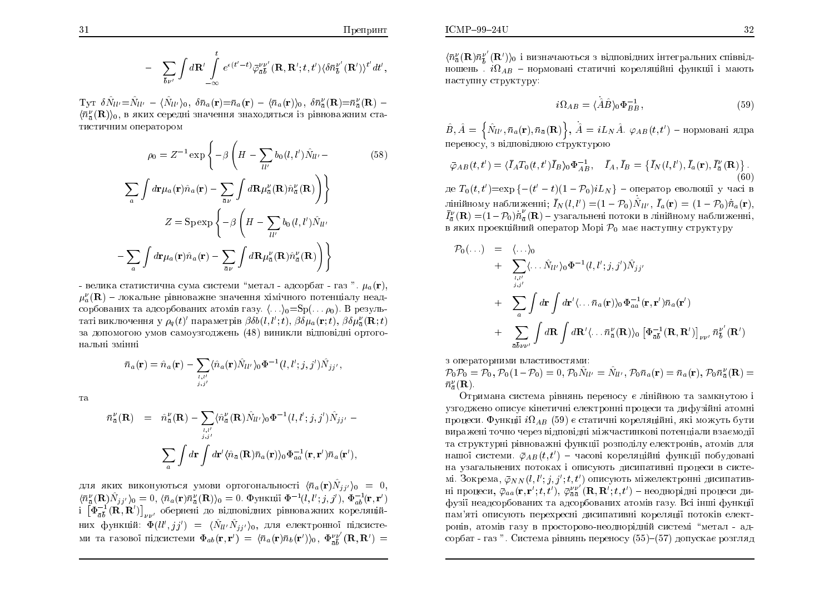$$
- \sum_{\overline{b} \nu'} \int d\mathbf{R}' \int_{-\infty}^t e^{\epsilon(t'-t)} \bar{\varphi}_{\overline{a}\overline{b}}^{\nu \nu'}(\mathbf{R}, \mathbf{R}'; t, t') \langle \delta \bar{n}_b^{\nu'}(\mathbf{R}') \rangle^{t'} dt',
$$

 $T_{\rm VT}$   $\delta \hat N_{ll'} = \hat N_{ll'} - \langle \hat N_{ll'} \rangle_0$ ,  $\delta \bar n_a({\bf r}) = \bar n_a({\bf r}) - \langle \bar n_a({\bf r}) \rangle_0$ ,  $\delta \bar n_{\bar a}^{\nu}({\bf R}) = \bar n_{\bar a}^{\nu}({\bf R}) - \langle \bar n_{\bar a}^{\nu}({\bf R}) \rangle_0$  $\langle \bar{n}_{\bar{z}}^{\nu}(\mathbf{R})\rangle_0$ , в яких середні значення знаходяться із рівноважним статистичним оператором

$$
\rho_0 = Z^{-1} \exp\left\{-\beta \left(H - \sum_{ll'} b_0(l, l') \hat{N}_{ll'} - \sum_{a} \int d\mathbf{r} \mu_a(\mathbf{r}) \hat{n}_a(\mathbf{r}) - \sum_{\bar{a}\nu} \int d\mathbf{R} \mu_{\bar{a}}^{\nu}(\mathbf{R}) \hat{n}_{\bar{a}}^{\nu}(\mathbf{R})\right)\right\}
$$
(58)

$$
Z = \text{Sp} \exp \left\{-\beta \left( H - \sum_{ll'} b_0(l, l') \hat{N}_{ll'} \right.\right.
$$

$$
- \sum_a \int d\mathbf{r} \mu_a(\mathbf{r}) \hat{n}_a(\mathbf{r}) - \sum_{\bar{a}\nu} \int d\mathbf{R} \mu_{\bar{a}}^{\nu}(\mathbf{R}) \hat{n}_{\bar{a}}^{\nu}(\mathbf{R})\right)\right\}
$$

- велика статистична сума системи "метал - адсорбат - газ ".  $\mu_a(\mathbf{r}),$  $\mu_{\alpha}^{\nu}(\mathbf{R})$  – локальне рівноважне значення хімічного потенціалу неадсорбованих та адсорбованих атомів газу.  $\langle ... \rangle_0 = Sp(...\rho_0)$ . В результаті виключення у  $\rho_a(t)$  параметрів  $\beta \delta b(l, l'; t)$ ,  $\beta \delta \mu_a(\mathbf{r}; t)$ ,  $\beta \delta \mu_a^{\nu}(\mathbf{R}; t)$ за допомогою умов самоузгоджень (48) виникли відповідні ортогональні змінні

$$
\bar{n}_a(\mathbf{r})=\hat{n}_a(\mathbf{r})-\sum_{l,l'}\langle\hat{n}_a(\mathbf{r})\hat{N}_{ll'}\rangle_0\Phi^{-1}(l,l';j,j')\hat{N}_{jj'},
$$

та

$$
\bar{n}_{\bar{a}}^{\nu}(\mathbf{R}) = \hat{n}_{\bar{a}}^{\nu}(\mathbf{R}) - \sum_{l,l'} \langle \hat{n}_{\bar{a}}^{\nu}(\mathbf{R}) \hat{N}_{ll'} \rangle_0 \Phi^{-1}(l, l'; j, j') \hat{N}_{jj'} -
$$

$$
\sum_{a} \int d\mathbf{r} \int d\mathbf{r}' \langle \hat{n}_{\bar{a}}(\mathbf{R}) \bar{n}_{a}(\mathbf{r}) \rangle_0 \Phi_{aa}^{-1}(\mathbf{r}, \mathbf{r}') \bar{n}_{a}(\mathbf{r}'),
$$

для яких виконуються умови ортогональності  $\langle \bar{n}_a(\mathbf{r}) \hat{N}_{jj'} \rangle_0 = 0$ ,  $\langle \bar{n}_{\bar{a}}^{\nu}(\mathbf{R}) \hat{N}_{j j'} \rangle_0 = 0, \langle \bar{n}_a(\mathbf{r}) \bar{n}_{\bar{a}}^{\nu}(\mathbf{R}) \rangle_0 = 0.$   $\Phi$ ункції  $\Phi^{-1}(l, l'; j, j'), \Phi^{-1}_{ab}(\mathbf{r}, \mathbf{r}')$  $\left[\Phi_{\bar{a}\bar{b}}^{-1}(\mathbf{R},\mathbf{R}')\right]_{\mu\nu'}$  обернені до відповідних рівноважних кореляційних функцій:  $\Phi(ll',jj') = \langle \hat{N}_{ll'} \hat{N}_{jj'} \rangle_0$ , для електронної підсистеми та газової підсистеми  $\Phi_{ab}(\mathbf{r},\mathbf{r}') = \langle \bar{n}_a(\mathbf{r})\bar{n}_b(\mathbf{r}')\rangle_0, \ \Phi_{\bar{a}\bar{b}}^{\nu\nu'}(\mathbf{R},\mathbf{R}') =$   $\langle \bar{n}^{\nu}_{\bar{\alpha}}(\mathbf{R}) \bar{n}^{\nu'}_{\bar{\kappa}}(\mathbf{R'}) \rangle_0$  і визначаються з відповідних інтегральних співвідношень  $i\Omega_{AB}$  – нормовані статичні кореляційні функції і мають наступну структуру:

$$
i\Omega_{AB} = \langle \hat{A}\hat{B} \rangle_0 \Phi_{BB}^{-1},\tag{59}
$$

 $\hat{B}, \hat{A} = \left\{ \hat{N}_{ll'}, \bar{n}_a(\mathbf{r}), \bar{n}_{\bar{a}}(\mathbf{R}) \right\}, \hat{A} = iL_N \hat{A}.$   $\varphi_{AB}(t, t')$  – нормовані ядра переносу, з відповідною структурою

$$
\bar{\varphi}_{AB}(t, t') = \langle \bar{I}_A T_0(t, t') \bar{I}_B \rangle_0 \Phi_{AB}^{-1}, \quad \bar{I}_A, \bar{I}_B = \{ \bar{I}_N(t, t'), \bar{I}_a(\mathbf{r}), \bar{I}_a^{\nu}(\mathbf{R}) \}.
$$
\n(60)

де  $T_0(t, t') = \exp\{-(t'-t)(1-\mathcal{P}_0)iL_N\}$  – оператор еволюції у часі в лінійному наближенні;  $\bar{I}_N(l,l') = (1 - \mathcal{P}_0) \hat{N}_{ll'}$ ,  $\bar{I}_a(\mathbf{r}) = (1 - \mathcal{P}_0) \dot{\bar{n}}_a(\mathbf{r}),$  $\bar{I}_{\bar{a}}^{\nu}(\mathbf{R}) = (1 - \mathcal{P}_0)\dot{\bar{n}}_{\bar{a}}^{\nu}(\mathbf{R})$  – узагальнені потоки в лінійному наближенні, в яких проекційний оператор Морі  $\mathcal{P}_0$  має наступну структуру

$$
\mathcal{P}_0(\ldots) = \langle \ldots \rangle_0 \n+ \sum_{l,l'} \langle \ldots \hat{N}_{ll'} \rangle_0 \Phi^{-1}(l,l';j,j') \hat{N}_{jj'} \n+ \sum_{a} \int d\mathbf{r} \int d\mathbf{r}' \langle \ldots \bar{n}_a(\mathbf{r}) \rangle_0 \Phi_{aa}^{-1}(\mathbf{r},\mathbf{r}') \bar{n}_a(\mathbf{r}') \n+ \sum_{\bar{a}\bar{b}\nu\nu'} \int d\mathbf{R} \int d\mathbf{R}' \langle \ldots \bar{n}_\bar{a}^{\nu}(\mathbf{R}) \rangle_0 \left[ \Phi_{\bar{a}\bar{b}}^{-1}(\mathbf{R},\mathbf{R}') \right]_{\nu\nu'} \bar{n}_b^{\nu'}(\mathbf{R}')
$$

з операторними властивостями:

 $\mathcal{P}_0 \mathcal{P}_0 = \mathcal{P}_0, \mathcal{P}_0 (1 - \mathcal{P}_0) = 0, \mathcal{P}_0 \hat{N}_{ll'} = \hat{N}_{ll'}, \mathcal{P}_0 \bar{n}_a(\mathbf{r}) = \bar{n}_a(\mathbf{r}), \mathcal{P}_0 \bar{n}_a^{\nu}(\mathbf{R}) =$  $\bar{n}^{\nu}_{\bar{n}}(\mathbf{R}).$ 

Отримана система рівнянь переносу є лінійною та замкнутою і узгоджено описує кінетичні електронні процеси та дифузійні атомні процеси. Функції  $i\Omega_{AB}$  (59) є статичні кореляційні, які можуть бути виражені точно через відповідні міжчастинкові потенціали взаємодії та структурні рівноважні функції розподілу електронів, атомів для нашої системи.  $\bar{\varphi}_{AB}(t,t')$  – часові кореляційні функції побудовані на узагальнених потоках і описують дисипативні процеси в системі. Зокрема,  $\bar{\varphi}_{NN}(l, l'; j, j'; t, t')$  описують міжелектронні дисипативні процеси,  $\bar{\varphi}_{aa}(\mathbf{r},\mathbf{r}';t,t')$ ,  $\bar{\varphi}_{\bar{a}\bar{a}}^{\nu\nu'}(\mathbf{R},\mathbf{R}';t,t')$  – неоднорідні процеси дифузії неадсорбованих та адсорбованих атомів газу. Всі інші функції пам'яті описують перехресні дисипативні кореляції потоків електронів, атомів газу в просторово-неоднорідній системі "метал - адсорбат - газ ". Система рівнянь переносу (55)-(57) допускає розгляд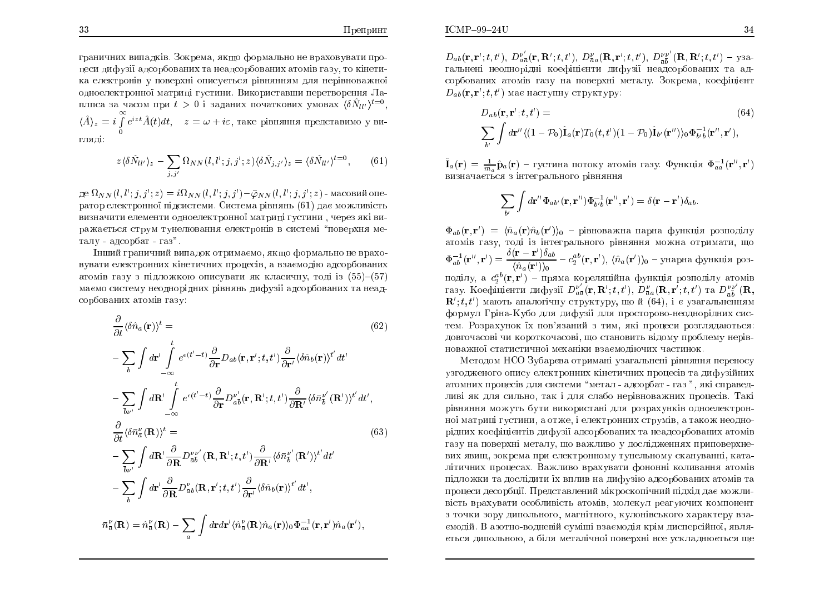граничних випадків. Зокрема, якщо формально не враховувати процеси дифузії адсорбованих та неадсорбованих атомів газу, то кінетика електронів у поверхні описується рівнянням для нерівноважної одноелектронної матриці густини. Використавши перетворення Лаплпса за часом при  $t>0$  і заданих початкових умовах  $\langle \delta \hat N_{ll'} \rangle^{t=0},$  $\langle \hat{A}\rangle_z = i\int\limits_0^\infty e^{izt}\hat{A}(t)dt, \quad z=\omega+i\varepsilon,$  таке рівняння представимо у  $e^{izt}\hat{A}(t)dt$ ,  $z = \omega + i\varepsilon$ , таке рівняння представимо у вигляді:

$$
z \langle \delta \hat{N}_{ll'} \rangle_z - \sum_{j,j'} \Omega_{NN}(l,l';j,j';z) \langle \delta \hat{N}_{j,j'} \rangle_z = \langle \delta \hat{N}_{ll'} \rangle^{t=0},\tag{61}
$$

де  $\Omega_{NN}(l,l';j,j';z) = i\Omega_{NN}(l,l';j,j') - \bar{\varphi}_{NN}(l,l';j,j';z)$  - масовий оператор електронної підсистеми. Система рівнянь  $\left( 61\right)$  дає можливість ;;;;визначити елементи одноелектронної матриці густини , через які виражається струм тунелювання електронів в системі "поверхня металу - адсорбат - газ".

Iнший граничний випадок отримаємо, якщо формально не враховувати електронних кінетичних процесів, а взаємодію адсорбованих<br>Силості атомів газу з підложкою описувати як класичну, тоді із (55)–(57) маємо систему неоднорідних рівнянь дифузії адсорбованих та неад-<br><mark>.</mark> сорбованих атомів <mark>газу:</mark>

$$
\frac{\partial}{\partial t} \langle \delta \hat{n}_a(\mathbf{r}) \rangle^t =
$$
\n
$$
- \sum_{b} \int d\mathbf{r}' \int_{-\infty}^{t} e^{\epsilon(t'-t)} \frac{\partial}{\partial \mathbf{r}} D_{ab}(\mathbf{r}, \mathbf{r}'; t, t') \frac{\partial}{\partial \mathbf{r}'} \langle \delta \hat{n}_b(\mathbf{r}) \rangle^{t'} dt'
$$
\n
$$
- \sum_{\tilde{b} \nu'} \int d\mathbf{R}' \int_{-\infty}^{t} e^{\epsilon(t'-t)} \frac{\partial}{\partial \mathbf{r}} D_{a\tilde{b}}^{\nu'}(\mathbf{r}, \mathbf{R}'; t, t') \frac{\partial}{\partial \mathbf{R}'} \langle \delta \bar{n}_b^{\nu'}(\mathbf{R}') \rangle^{t'} dt',
$$
\n
$$
\frac{\partial}{\partial t} \langle \delta \bar{n}_a^{\nu}(\mathbf{R}) \rangle^t =
$$
\n
$$
- \sum_{\tilde{b} \nu'} \int d\mathbf{R}' \frac{\partial}{\partial \mathbf{R}} D_{\tilde{a}\tilde{b}}^{\nu\nu'}(\mathbf{R}, \mathbf{R}'; t, t') \frac{\partial}{\partial \mathbf{R}'} \langle \delta \bar{n}_b^{\nu'}(\mathbf{R}') \rangle^{t'} dt'
$$
\n
$$
- \sum_{\tilde{b}} \int d\mathbf{r}' \frac{\partial}{\partial \mathbf{R}} D_{\tilde{a}\tilde{b}}^{\nu}(\mathbf{R}, \mathbf{r}'; t, t') \frac{\partial}{\partial \mathbf{r}'} \langle \delta \hat{n}_b(\mathbf{r}) \rangle^{t'} dt',
$$
\n
$$
\bar{n}_a^{\nu}(\mathbf{R}) = \hat{n}_a^{\nu}(\mathbf{R}) - \sum_{a} \int d\mathbf{r} d\mathbf{r}' \langle \hat{n}_a^{\nu}(\mathbf{R}) \hat{n}_a(\mathbf{r}) \rangle_0 \Phi_{aa}^{-1}(\mathbf{r}, \mathbf{r}') \hat{n}_a(\mathbf{r}'),
$$

 ${D}_{ab}({\bf r},{\bf r}';t,t'),~D_a^\nu$ гальнені неоднорідні коефіцієнти дифузії неадсорбованих та ад-; $\frac{\nu'}{a\, \bar a}({\bf r},{\bf R}';t,t'),\ D_{\bar a\, a}^{\nu}({\bf R},{\bf r}';t,t'),\ D_{\bar a\, \bar b}^{\nu\nu}$ ; $\frac{\nu\overline{\nu}'}{\bar{a}\,\bar{b}}(\mathbf{R},\mathbf{R}';t,t')$  – y3a-;сорбованих атомів газу на поверхні металу. Зокрема, коефіцієнт  $D_{ab}(\mathbf{r},\mathbf{r}';t,t')$  має наступну структуру: ;

$$
D_{ab}(\mathbf{r}, \mathbf{r}'; t, t') =
$$
\n
$$
\sum_{b'} \int d\mathbf{r}'' \langle (1 - \mathcal{P}_0) \hat{\mathbf{I}}_a(\mathbf{r}) T_0(t, t') (1 - \mathcal{P}_0) \hat{\mathbf{I}}_{b'}(\mathbf{r}'') \rangle_0 \Phi_{b'b}^{-1}(\mathbf{r}'', \mathbf{r}'),
$$
\n(64)

 $\hat{\mathbf{I}}_a(\mathbf{r}) = \frac{1}{m_a} \hat{\mathbf{p}}_a(\mathbf{r}) - \text{густина потоку атомів газу. Функція  $\Phi_{aa}^{-1}(\mathbf{r}'', \mathbf{r})$$ 0 ) визначається з інтегрального рівнянн<mark>я</mark>

$$
\sum_{b'} \int d\mathbf{r}'' \Phi_{ab'}(\mathbf{r}, \mathbf{r}'') \Phi_{b'b}^{-1}(\mathbf{r}'', \mathbf{r}') = \delta(\mathbf{r} - \mathbf{r}') \delta_{ab}.
$$

 $\Phi_{ab}(\mathbf{r},\mathbf{r}') = \langle \hat{n}_a(\mathbf{r})\hat{n}_b(\mathbf{r}') \rangle_0$  – рівноважна парна функція розподілу атомів газу, тоді із інтегрального рівняння можна отримати, що 1 ab(r00 ; <sup>r</sup>  $') =$ поділу, а  $c_2^{ab}(\mathbf{r}, \mathbf{r'})$  — пряма кореляційна функція розподілу атомів<br>газу. Коефіцієнти дифузії  $D_{a\bar{a}}^{v'}(\mathbf{r}, \mathbf{R}'; t, t')$ ,  $D_{\bar{a}}^{v}(\mathbf{R}, \mathbf{r}'; t, t')$  та  $D_{\bar{a}\bar{b}}^{v}(\mathbf{R},$  $\frac{\delta({\bf r}-{\bf r}')\delta_{ab}}{\langle \hat{n}_a({\bf r}')\rangle_0} -c_2^{ab}({\bf r},{\bf r}'), \ \langle \hat{n}_a({\bf r})\rangle$  $\langle \rangle$ <sub>0</sub> — унарна функція роз- $\frac{\nu'}{a\bar{a}}({\bf r},{\bf R'};t,t'),\ D^{\nu}_{\bar{a}\bar{a}}({\bf R},{\bf r'};t,t')$  ra  $D^{\nu\nu}_{\bar{a}\bar{b}}$ ; $\mathbf{R}'; t, t'$ ) мають аналогічну структуру, що й  $(64)$ , і є узагальненням ; $\frac{\nu \nu'}{\bar{a}\bar{b}}'(\mathbf{R},$ ;формул Гріна-Кубо для дифузії для просторово-неоднорідних систем. Розрахунок їх пов'язаний з тим, які процеси розглядаються: довгочасові чи короткочасові, що становить відому проблему нерів<mark>-</mark> новажної статистичної механіки взаємодіючих частинок.<br>————————————————————

Методом НСО Зубарєва отримані узагальнені рівняння переносу<br>... узгодженого опису електронних кінетичних процесів та дифузійних<br>. атомних процесів для системи "метал - адсорбат - газ ", які справедливі як для сильно, так і для слабо нерівноважних процесів. <mark>Т</mark>акі рівняння можуть бути використані для розрахунків одноелектрон<del>-</del> ної матриці густини, а отже, і електронних струмів, а також неодно-<br>відниць неофініаннік, пифивії з дозв'єдольник до неодоорборонни здолів рідних коефіцієнтів дифузії адсорбованих та неадсорбованих атомів газу на поверхні металу, що важливо у дослідженнях приповерхневих явищ, зокрема при електронному тунельному скануванні, каталітичних процесах. Важливо врахувати фононні коливання атомів підложки та дослідити їх вплив на дифузію адсорбованих атомів та<br>Сили Альської други дійський акт процеси десорбції. Представлений мікроскопічний підхід дає можливість врахувати особливість атомів, молекул реагуючих компонент з точки зору дипольного, магнітного, кулонівського характеру взаємодій. В азотно-водневій суміші взаємодія крім дисперсійної, являється дипольною, а біля металічної поверхні все ускладнюється ще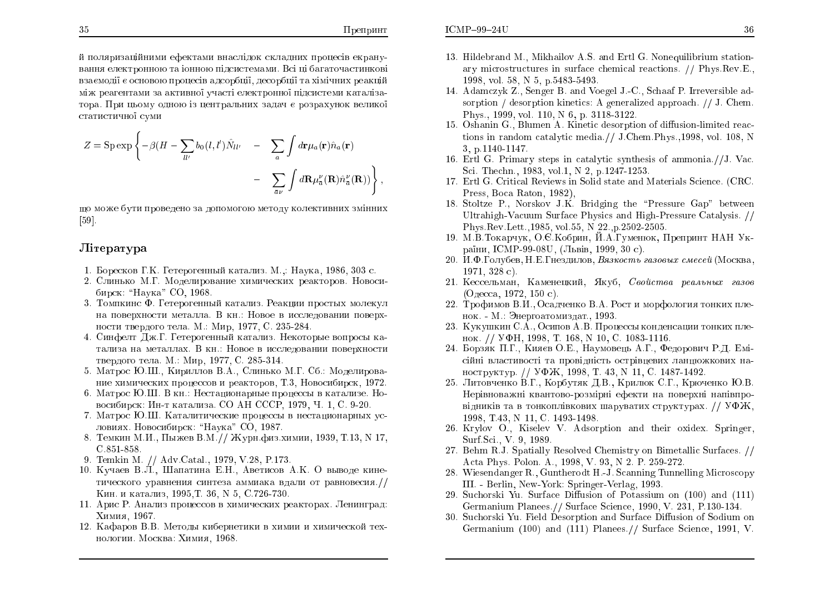;

й поляризаційними ефектами внаслідок складних процесів екрану-<br> вання електронною та іонною підсистемами. Всі ці багаточастинкові<br>Сліт взаємодії є основою процесів адсорбції, десорбції та хімічних реакцій<br>. ÍÖ ÒÅÁÇÅÎÔÁÍÉ ÚÁ ÁËÔÉ×Îϧ ÕÞÁÓÔ ÅÌÅËÔÒÏÎÎϧ ÄÓÉÓÔÅÍÉ ËÁÔÁÌÚÁтора. При цьому одною із центральних задач є розрахунок великої<br>... статистичної суми

$$
Z = \text{Sp} \exp \left\{ -\beta (H - \sum_{ll'} b_0(l, l') \hat{N}_{ll'} - \sum_a \int d\mathbf{r} \mu_a(\mathbf{r}) \hat{n}_a(\mathbf{r}) - \sum_{\bar{a}\nu} \int d\mathbf{R} \mu_{\bar{a}}^{\nu}(\mathbf{R}) \hat{n}_{\bar{a}}^{\nu}(\mathbf{R}) \right\}
$$

що може бути проведено за допомогою методу колективних змінних<br>Гад  $[59]$ .

### Jireparypa

- 1. Боресков Г.К. Гетерогенный катализ. М.,: Наука, 1986, 303 с.<br>Собора В. С.
- 2. Слинько М.Г. Моделирование химических реакторов. Новосибирск: "Наука" СО, 1968.<br><del>Т</del>
- 3. Томпкинс Ф. Гетерогенный катализ. Реакции простых молекул на поверхности металла. В кн.: Новое в исследовании поверхности твердого тела. М.: Мир, 1977, С. 235-284.<br>С
- 4. Синфелт Дж.Г. Гетерогенный катализ. Некоторые вопросы катализа на металлах. В кн.: Новое в исследовании поверхности твердого тела. М.: Мир, 1977, С. 285-314.<br>См. только от С.
- 5. Матрос Ю.Ш., Кириллов В.А., Слинько М.Г. Сб.: Моделирование химических процессов и реакторов, Т.3, Новосибирск, 1972.
- 6. Матрос Ю.Ш. В кн.: Нестационарные процессы в катализе. Новосибирск: Ин-т катализа. СО АН СССР, 1979, Ч. 1, С. 9-20.<br>Матрос Ю Ш. Каталилиноские пренессы в нестаниенарии.
- 7. Матрос Ю.Ш. Каталитические процессы в нестационарных условиях. Новосибирск: "Наука" СО, 1987.<br>—
- 8. Темкин М.И., Пыжев В.М.// Журн.физ.химии, 1939, Т.13, N 17,<br>СОБ1 050 ó.851-858.
- 9. Temkin M. // Adv.Catal., 1979, V.28, P.173.
- 10. Кучаев В.Л., Шапатина Е.Н., Аветисов А.К. О выводе кинетического уравнения синтеза аммиака вдали от равновесия.//<br>--Кин. и катализ, 1995,Т. 36, N 5, С.726-730.<br>Арис Р. Анализ происсер в уничности: р
- 11. Арис Р. Анализ процессов в химических реакторах. Ленинград: Xимия, 1967.
- 12. Кафаров В.В. Методы кибернетики в химии и химической технологии. Москва: Химия, 1968.
- 13. Hildebrand M., Mikhailov A.S. and Ertl G. Nonequilibrium station-<br>care pierceturatures in surface chamical resations, *(I* Phys Boy E ary microstructures in surface chemical reactions. // Phys.Rev.E., 1998,vol. 58, N 5, p.5483-5493.
- 14. Adamczyk Z., Senger B. and Voegel J.-C., Schaaf P. Irreversible adsorption / desorption kinetics: A generalized approach. // J. Chem. Phys., 1999, vol. 110, N 6, p. 3118-3122.
- 15. Oshanin G., Blumen A. Kinetic desorption of diffusion-limited reactions in random catalytic media.// J.Chem.Phys.,1998, vol. 108, N<br>2. p.1140.1147 3, p.1140-1147.
- 16. Ertl G. Primary steps in catalytic synthesis of ammonia. $//$ J. Vac. S
i. The
hn., 1983, vol.1,N 2, p.1247-1253.
- 17. Ertl G. Criti
al Reviews in Solid state and Materials S
ien
e. (CRC. Press, Bo
a Raton, 1982),
- 18. Stoltze P., Norskov J.K. Bridging the "Pressure Gap" between Ultrahigh-Vacuum Surface Physics and High-Pressure Catalysis. //<br>Phys Rev Lett, 1985, rel 55, N 92, p 9509, 9505 Phys.Rev.Lett.,1985, vol.55, N 22.,p.2502-2505.<br>M P Texanww O & Keénw H A Fuxewey, J
- 19. М.В.Токарчук, О.Є.Кобрин, Й.А.Гуменюк, Препринт НАН України, ICMP-99-08U, (Львів, 1999, 30 с).<br>Населени
- 20. И.Ф.Голубев, Н.Е.Гнездилов, *Вязкость газовых смесей* (Москва, 1971, 328 c).<br>I
- 21. Кессельман, Каменецкий, Якуб, *Свойства реальных газов*  $($ Одесса, 1972, 150 с).
- 22. Трофимов В.И., Осадченко В.А. Рост и морфология тонких пленок. - М.: Энергоатомиздат., 1993.
- 23. Кукушкин С.А., Осипов А.В. Процессы конденсации тонких пленок. // УФН, 1998, Т. 168, N 10, С. 1083-1116.<br>Борак П.Г. Князь О.Б., Науковош, А.Г., Фе
- 24. Борзяк П.Г., Кияєв О.Е., Наумовець А.Г., Федорович Р.Д. Емісійні властивості та провідність острівцевих ланцюжкових наноструктур. // УФЖ, 1998, Т. 43, N 11, С. 1487-1492.<br>Литорионио В.Е. Корбуляк Д.В. Крилюк С.Е. Крил
- 25. Литовченко В.Г., Корбутяк Д.В., Крилюк С.Г., Крюченко Ю.В. Нерівноважні квантово-розмірні ефекти на поверхні напівпровідників та в тонкоплівкових шаруватих структурах. //  ${\rm V}\Phi {\rm M},$ 1998, T.43, N 11, C. 1493-1498.<br>Kryley, O., Kiseley, V., Adeer
- 26. Krylov O., Kiselev V. Adsorption and their oxidex. Springer, Surf.S
i., V. 9, 1989.
- 27. Behm R.J. Spatially Resolved Chemistry on Bimetallic Surfaces.  $//$ A
ta Phys. Polon. A., 1998, V. 93, N 2. P. 259-272.
- 28. Wiesendanger R., Guntherodt H.-J. Scanning Tunnelling Microscopy III. - Berlin, New-York: Springer-Verlag, 1993.
- 29. Suchorski Yu. Surface Diffusion of Potassium on (100) and (111)<br>Carmanium Planess (1 Surface Science 1000 V 221, P.120-124 Germanium Planees.// Surfa
e S
ien
e, 1990, V. 231, P.130-134.
- 30. Suchorski Yu. Field Desorption and Surface Diffusion of Sodium on<br>Carmenium (100) and (111) Planess (*f* Surface Science, 1001, *V* Germanium (100) and (111) Planees.// Surface Science, 1991, V.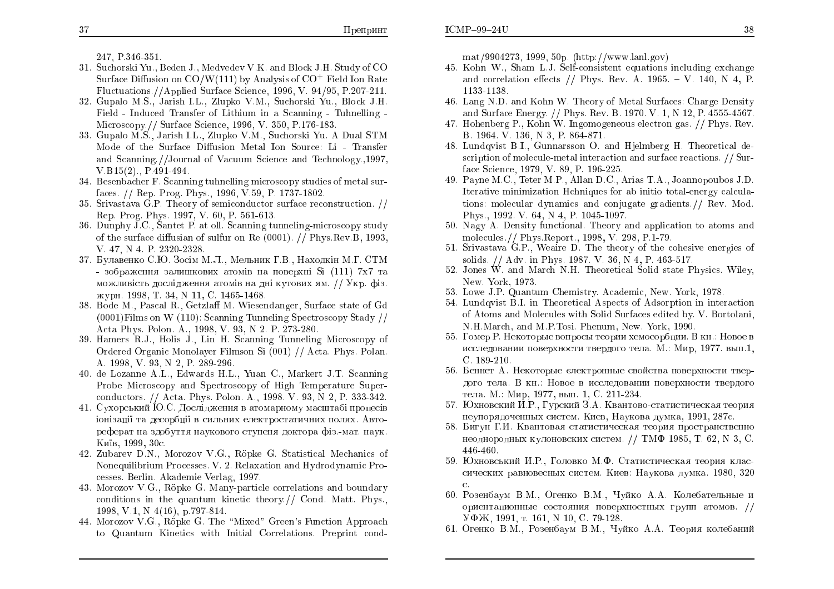247. P.346-351.

- 31. Suchorski Yu., Beden J., Medvedev V.K. and Block J.H. Study of CO Surface Diffusion on  $CO/W(111)$  by Analysis of  $CO<sup>+</sup>$  Field Ion Rate Fluctuations //Applied Surface Science, 1996, V. 94/95, P.207-211.
- 32. Gupalo M.S., Jarish I.L., Zlupko V.M., Suchorski Yu., Block J.H. Field - Induced Transfer of Lithium in a Scanning - Tuhnelling -Microscopy. // Surface Science, 1996, V. 350, P.176-183.
- 33. Gupalo M.S., Jarish I.L., Zlupko V.M., Suchorski Yu. A Dual STM Mode of the Surface Diffusion Metal Ion Source: Li - Transfer and Scanning.//Journal of Vacuum Science and Technology..1997.  $V.B15(2)$ ... P.491-494.
- 34. Besenbacher F. Scanning tuhnelling microscopy studies of metal surfaces. // Rep. Prog. Phys., 1996, V.59, P. 1737-1802.
- 35. Srivastava G.P. Theory of semiconductor surface reconstruction. // Rep. Prog. Phys. 1997, V. 60, P. 561-613.
- 36. Dunphy J.C., Santet P. at oll. Scanning tunneling-microscopy study of the surface diffusian of sulfur on Re (0001). // Phys. Rev. B. 1993. V. 47, N. 4, P. 2320-2328.
- 37. Булавенко С.Ю. Зосім М.Л., Мельник Г.В., Находкін М.Г. СТМ - зображення залишкових атомів на поверхні Si (111) 7x7 та можливість дослідження атомів на дні кутових ям. // Укр. фіз. журн. 1998. Т. 34. N 11. C. 1465-1468.
- 38. Bode M., Pascal R., Getzlaff M. Wiesendanger, Surface state of Gd  $(0001)$ Films on W  $(110)$ : Scanning Tunneling Spectroscopy Stady // Acta Phys. Polon. A., 1998, V. 93, N. 2, P. 273-280.
- 39. Hamers R.J., Holis J., Lin H. Scanning Tunneling Microscopy of Ordered Organic Monolayer Filmson Si (001) // Acta. Phys. Polan. A. 1998, V. 93, N 2, P. 289-296.
- 40. de Lozanne A.L., Edwards H.L., Yuan C., Markert J.T. Scanning Probe Microscopy and Spectroscopy of High Temperature Superconductors. // Acta. Phys. Polon. A., 1998. V. 93, N 2, P. 333-342.
- 41. Сухорський Ю.С. Дослідження в атомарному масштабі процесів іонізації та десорбції в сильних електростатичних полях. Автореферат на здобуття наукового ступеня доктора фіз.-мат. наук. Київ. 1999. 30с.
- 42. Zubarev D.N., Morozov V.G., Röpke G. Statistical Mechanics of Nonequilibrium Processes. V. 2. Relaxation and Hydrodynamic Processes. Berlin. Akademie Verlag, 1997.
- 43. Morozov V.G., Röpke G. Many-particle correlations and boundary conditions in the quantum kinetic theory.// Cond. Matt. Phys., 1998, V.1, N 4(16), p.797-814.
- 44. Morozov V.G., Röpke G. The "Mixed" Green's Function Approach to Quantum Kinetics with Initial Correlations. Preprint cond-

 $\text{mat}/9904273, 1999, 50p. (\text{http://www.lanl.gov})$ 

- 45. Kohn W., Sham L.J. Self-consistent equations including exchange and correlation effects // Phys. Rev. A. 1965. - V. 140, N 4, P. 1133-1138.
- 46. Lang N.D. and Kohn W. Theory of Metal Surfaces: Charge Density and Surface Energy. // Phys. Rev. B. 1970. V. 1, N 12, P. 4555-4567.
- 47. Hohenberg P., Kohn W. Ingomogeneous electron gas. // Phys. Rev. B. 1964, V. 136, N. 3, P. 864-871.
- 48. Lundqvist B.I., Gunnarsson O. and Hjelmberg H. Theoretical description of molecule-metal interaction and surface reactions. // Surface Science, 1979, V. 89, P. 196-225.
- 49. Payne M.C., Teter M.P., Allan D.C., Arias T.A., Joannopoubos J.D. Iterative minimization Hchniques for ab initio total-energy calculations: molecular dynamics and conjugate gradients.// Rev. Mod. Phys., 1992. V. 64, N.4, P. 1045-1097.
- 50. Nagy A. Density functional. Theory and application to atoms and molecules.// Phys.Report., 1998, V. 298, P.1-79.
- 51. Srivastava G.P., Wealte D. The theory of the cohesive energies of solids. // Adv. in Phys. 1987. V. 36, N 4, P. 463-517.
- 52. Jones W. and March N.H. Theoretical Solid state Physics. Wiley, New. York, 1973.
- 53. Lowe J.P. Quantum Chemistry, Academic, New, York, 1978.
- 54. Lundqvist B.I. in Theoretical Aspects of Adsorption in interaction of Atoms and Molecules with Solid Surfaces edited by. V. Bortolani, N.H. March, and M.P. Tosi, Phenum, New, York, 1990.
- 55. Гомер Р. Некоторые вопросы теории хемосорбции. В кн.: Новое в исследовании поверхности твердого тела. М.: Мир, 1977. вып.1,  $C.189-210.$
- 56. Беннет А. Некоторые слектронные свойства поверхности твердого тела. В кн.: Новое в исследовании поверхности твердого тела. М.: Мир, 1977, вып. 1, С. 211-234.
- 57. Юхновский И.Р., Гурский З.А. Квантово-статистическая теория неупорядоченных систем. Киев, Наукова думка, 1991, 287с.
- 58. Бигун Г.И. Квантовая статистическая теория пространственно неоднородных кулоновских систем. // ТМФ 1985, Т. 62, N 3, C. 446-460.
- 59. Юхновський И.Р., Головко М.Ф. Статистическая теория классических равновесных систем. Киев: Наукова думка. 1980, 320  $C.$
- 60. Розенбаум В.М., Огенко В.М., Чуйко А.А. Колебательные и ориентационные состояния поверхностных групп атомов. // УФЖ, 1991. т. 161. № 10. С. 79-128.
- 61. Огенко В.М., Розенбаум В.М., Чуйко А.А. Теория колебаний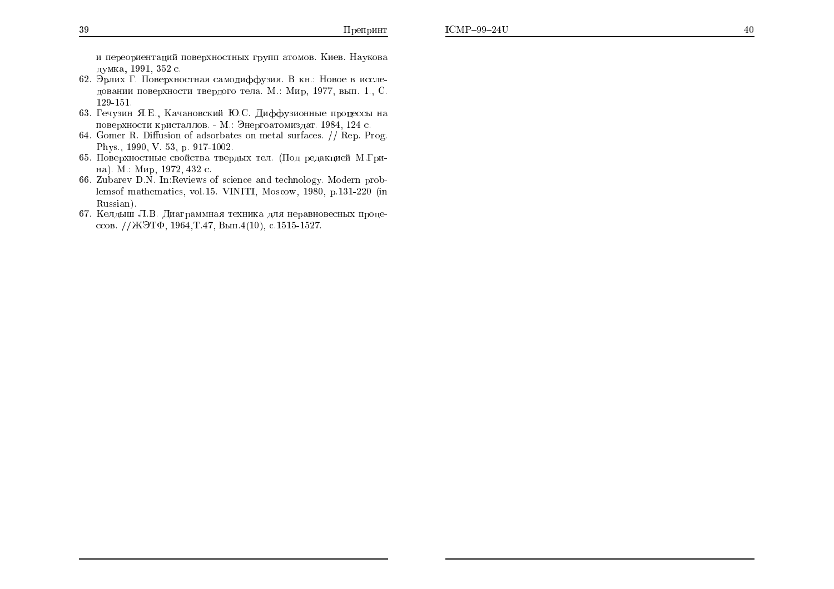и переориентаций поверхностных групп атомов. Киев. Наукова думка, 1991, 352 с.

- 62. Эрлих Г. Поверхностная самодиффузия. В кн.: Новое в исследовании поверхности твердого тела. М.: Мир, 1977, вып. 1., С. 129-151.
- 63. Гечузин Я.Е., Качановский Ю.С. Диффузионные процессы на поверхности кристаллов. - М.: Энергоатомиздат. 1984, 124 с.
- 64. Gomer R. Diffusion of adsorbates on metal surfaces. // Rep. Prog. Phys., 1990, V. 53, p. 917-1002.
- 65. Поверхностные свойства твердых тел. (Под редакцией М.Грина). М.: Мир, 1972, 432 с.
- 66. Zubarev D.N. In: Reviews of science and technology. Modern problemsof mathematics, vol.15. VINITI, Moscow, 1980, p.131-220 (in Russian).
- 67. Келдыш Л.В. Диаграммная техника для неравновесных процессов. //ЖЭТФ, 1964, Т.47, Вып. 4(10), с. 1515-1527.